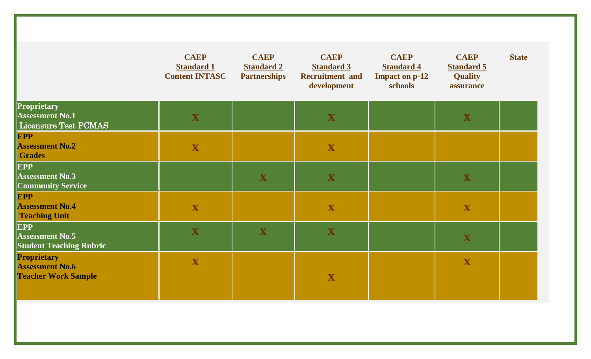|                                                                             | <b>CAEP</b><br><b>Standard 1</b><br><b>Content INTASC</b> | <b>CAEP</b><br><b>Standard 2</b><br><b>Partnerships</b> | <b>CAEP</b><br><b>Standard 3</b><br><b>Recruitment and</b><br>development | <b>CAEP</b><br><b>Standard 4</b><br><b>Impact on p-12</b><br>schools | <b>CAEP</b><br><b>Standard 5</b><br><b>Quality</b><br>assurance | <b>State</b> |
|-----------------------------------------------------------------------------|-----------------------------------------------------------|---------------------------------------------------------|---------------------------------------------------------------------------|----------------------------------------------------------------------|-----------------------------------------------------------------|--------------|
| <b>Proprietary</b><br><b>Assessment No.1</b><br><b>Licensure Test PCMAS</b> | X                                                         |                                                         | X                                                                         |                                                                      | $\mathbf X$                                                     |              |
| <b>EPP</b><br><b>Assessment No.2</b><br><b>Grades</b>                       | $\mathbf X$                                               |                                                         | X                                                                         |                                                                      |                                                                 |              |
| <b>EPP</b><br><b>Assessment No.3</b><br><b>Community Service</b>            |                                                           | $\mathbf X$                                             | X                                                                         |                                                                      | X                                                               |              |
| <b>EPP</b><br><b>Assessment No.4</b><br><b>Teaching Unit</b>                | X                                                         |                                                         | X                                                                         |                                                                      | X                                                               |              |
| <b>EPP</b><br><b>Assessment No.5</b><br><b>Student Teaching Rubric</b>      | X                                                         | X                                                       | X                                                                         |                                                                      | X                                                               |              |
| <b>Proprietary</b><br><b>Assessment No.6</b><br><b>Teacher Work Sample</b>  | X                                                         |                                                         | X                                                                         |                                                                      | X                                                               |              |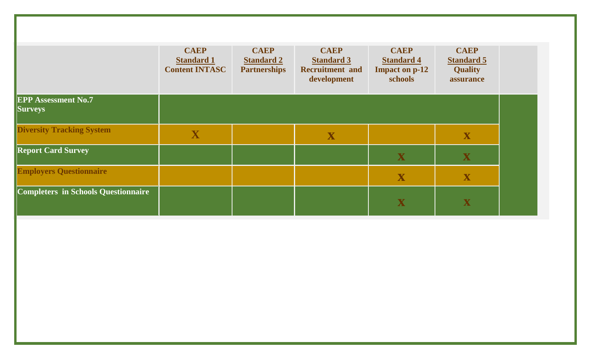|                                              | <b>CAEP</b><br><b>Standard 1</b><br><b>Content INTASC</b> | <b>CAEP</b><br><b>Standard 2</b><br><b>Partnerships</b> | <b>CAEP</b><br><b>Standard 3</b><br><b>Recruitment and</b><br>development | <b>CAEP</b><br><b>Standard 4</b><br><b>Impact on p-12</b><br>schools | <b>CAEP</b><br><b>Standard 5</b><br><b>Quality</b><br>assurance |  |
|----------------------------------------------|-----------------------------------------------------------|---------------------------------------------------------|---------------------------------------------------------------------------|----------------------------------------------------------------------|-----------------------------------------------------------------|--|
| <b>EPP Assessment No.7</b><br><b>Surveys</b> |                                                           |                                                         |                                                                           |                                                                      |                                                                 |  |
| <b>Diversity Tracking System</b>             | X                                                         |                                                         | X                                                                         |                                                                      | $\mathbf X$                                                     |  |
| <b>Report Card Survey</b>                    |                                                           |                                                         |                                                                           | X                                                                    | X                                                               |  |
| <b>Employers Questionnaire</b>               |                                                           |                                                         |                                                                           | X                                                                    | X                                                               |  |
| <b>Completers in Schools Questionnaire</b>   |                                                           |                                                         |                                                                           | X                                                                    | X                                                               |  |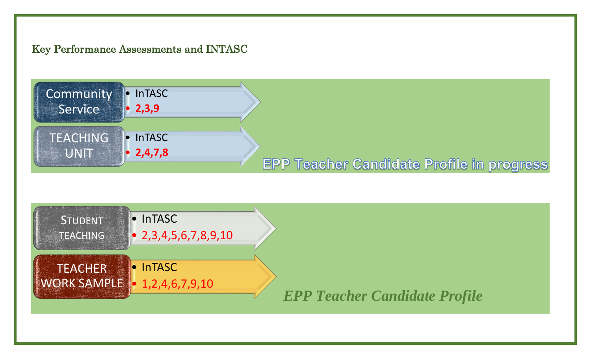# Key Performance Assessments and INTASC



![](_page_2_Figure_2.jpeg)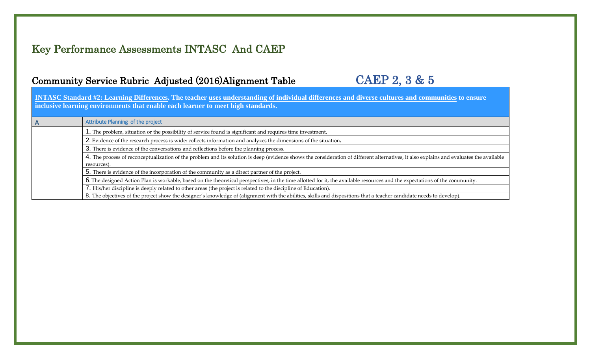# Key Performance Assessments INTASC And CAEP

| CAEP 2, 3 & 5<br>Community Service Rubric Adjusted (2016)Alignment Table                                                                                                                                                                     |  |  |
|----------------------------------------------------------------------------------------------------------------------------------------------------------------------------------------------------------------------------------------------|--|--|
| <b>INTASC Standard #2: Learning Differences. The teacher uses understanding of individual differences and diverse cultures and communities to ensure</b><br>inclusive learning environments that enable each learner to meet high standards. |  |  |
| Attribute Planning of the project                                                                                                                                                                                                            |  |  |
| $\mathsf{l}$ . The problem, situation or the possibility of service found is significant and requires time investment.                                                                                                                       |  |  |
| 2. Evidence of the research process is wide: collects information and analyzes the dimensions of the situation.                                                                                                                              |  |  |
| 3. There is evidence of the conversations and reflections before the planning process.                                                                                                                                                       |  |  |
| 4. The process of reconceptualization of the problem and its solution is deep (evidence shows the consideration of different alternatives, it also explains and evaluates the available                                                      |  |  |
| resources).                                                                                                                                                                                                                                  |  |  |
| 5. There is evidence of the incorporation of the community as a direct partner of the project.                                                                                                                                               |  |  |
| 6. The designed Action Plan is workable, based on the theoretical perspectives, in the time allotted for it, the available resources and the expectations of the community.                                                                  |  |  |
| 7. His/her discipline is deeply related to other areas (the project is related to the discipline of Education).                                                                                                                              |  |  |
| 8. The objectives of the project show the designer's knowledge of (alignment with the abilities, skills and dispositions that a teacher candidate needs to develop).                                                                         |  |  |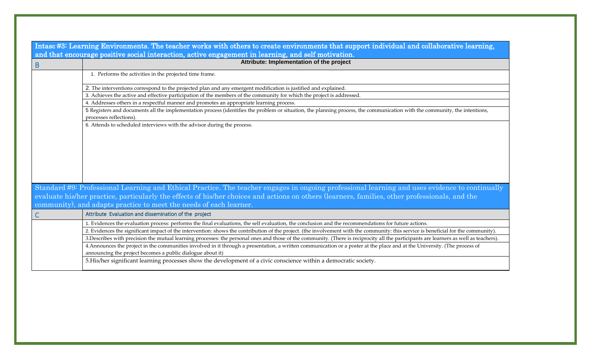| Intasc #3: Learning Environments. The teacher works with others to create environments that support individual and collaborative learning,<br>and that encourage positive social interaction, active engagement in learning, and self motivation. |                                                                                                                                                                                                                                                                                                  |  |  |
|---------------------------------------------------------------------------------------------------------------------------------------------------------------------------------------------------------------------------------------------------|--------------------------------------------------------------------------------------------------------------------------------------------------------------------------------------------------------------------------------------------------------------------------------------------------|--|--|
| B                                                                                                                                                                                                                                                 | Attribute: Implementation of the project                                                                                                                                                                                                                                                         |  |  |
|                                                                                                                                                                                                                                                   | 1. Performs the activities in the projected time frame.                                                                                                                                                                                                                                          |  |  |
|                                                                                                                                                                                                                                                   | 2. The interventions correspond to the projected plan and any emergent modification is justified and explained.                                                                                                                                                                                  |  |  |
|                                                                                                                                                                                                                                                   | 3. Achieves the active and effective participation of the members of the community for which the project is addressed.                                                                                                                                                                           |  |  |
|                                                                                                                                                                                                                                                   | 4. Addresses others in a respectful manner and promotes an appropriate learning process.                                                                                                                                                                                                         |  |  |
|                                                                                                                                                                                                                                                   | 5 Registers and documents all the implementation process (identifies the problem or situation, the planning process, the communication with the community, the intentions,<br>processes reflections).                                                                                            |  |  |
|                                                                                                                                                                                                                                                   | 6. Attends to scheduled interviews with the advisor during the process.                                                                                                                                                                                                                          |  |  |
|                                                                                                                                                                                                                                                   |                                                                                                                                                                                                                                                                                                  |  |  |
|                                                                                                                                                                                                                                                   | Standard #9: Professional Learning and Ethical Practice. The teacher engages in ongoing professional learning and uses evidence to continually<br>evaluate his/her practice, particularly the effects of his/her choices and actions on others (learners, families, other professionals, and the |  |  |
|                                                                                                                                                                                                                                                   | community), and adapts practice to meet the needs of each learner.                                                                                                                                                                                                                               |  |  |
| $\overline{C}$                                                                                                                                                                                                                                    | Attribute Evaluation and dissemination of the project                                                                                                                                                                                                                                            |  |  |
|                                                                                                                                                                                                                                                   | 1. Evidences the evaluation process: performs the final evaluations, the self evaluation, the conclusion and the recommendations for future actions.                                                                                                                                             |  |  |
|                                                                                                                                                                                                                                                   | 2. Evidences the significant impact of the intervention: shows the contribution of the project. (the involvement with the community: this service is beneficial for the community).                                                                                                              |  |  |
|                                                                                                                                                                                                                                                   | 3. Describes with precision the mutual learning processes: the personal ones and those of the community. (There is reciprocity all the participants are learners as well as teachers).                                                                                                           |  |  |
|                                                                                                                                                                                                                                                   | 4. Announces the project in the communities involved in it through a presentation, a written communication or a poster at the place and at the University. (The process of<br>announcing the project becomes a public dialogue about it)                                                         |  |  |
|                                                                                                                                                                                                                                                   | 5. His/her significant learning processes show the development of a civic conscience within a democratic society.                                                                                                                                                                                |  |  |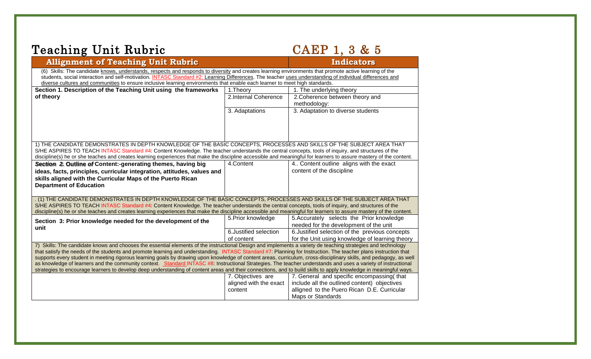| <b>Teaching Unit Rubric</b>                                                                                                                                                                                                                                                                                                                                                                                                                                                                              |                                      | CAEP 1, 3 & 5                                                                                      |  |
|----------------------------------------------------------------------------------------------------------------------------------------------------------------------------------------------------------------------------------------------------------------------------------------------------------------------------------------------------------------------------------------------------------------------------------------------------------------------------------------------------------|--------------------------------------|----------------------------------------------------------------------------------------------------|--|
| <b>Allignment of Teaching Unit Rubric</b>                                                                                                                                                                                                                                                                                                                                                                                                                                                                |                                      | <b>Indicators</b>                                                                                  |  |
| (6) Skills: The candidate knows, understands, respects and responds to diversity and creates learning environments that promote active learning of the<br>students, social interaction and self-motivation. INTASC Standard #2: Learning Differences. The teacher uses understanding of individual differences and<br>diverse cultures and communities to ensure inclusive learning environments that enable each learner to meet high standards.                                                        |                                      |                                                                                                    |  |
| Section 1. Description of the Teaching Unit using the frameworks                                                                                                                                                                                                                                                                                                                                                                                                                                         | 1. Theory                            | 1. The underlying theory                                                                           |  |
| of theory                                                                                                                                                                                                                                                                                                                                                                                                                                                                                                | 2.Internal Coherence                 | 2. Coherence between theory and<br>methodology:                                                    |  |
|                                                                                                                                                                                                                                                                                                                                                                                                                                                                                                          | 3. Adaptations                       | 3. Adaptation to diverse students                                                                  |  |
| 1) THE CANDIDATE DEMONSTRATES IN DEPTH KNOWLEDGE OF THE BASIC CONCEPTS, PROCESSES AND SKILLS OF THE SUBJECT AREA THAT<br>S/HE ASPIRES TO TEACH INTASC Standard #4: Content Knowledge. The teacher understands the central concepts, tools of inquiry, and structures of the                                                                                                                                                                                                                              |                                      |                                                                                                    |  |
| discipline(s) he or she teaches and creates learning experiences that make the discipline accessible and meaningful for learners to assure mastery of the content.<br>Section 2. Outline of Content:-generating themes, having big                                                                                                                                                                                                                                                                       | 4.Content                            | 4. Content outline aligns with the exact                                                           |  |
| ideas, facts, principles, curricular integration, attitudes, values and<br>skills aligned with the Curricular Maps of the Puerto Rican<br><b>Department of Education</b>                                                                                                                                                                                                                                                                                                                                 |                                      | content of the discipline                                                                          |  |
| . (1) THE CANDIDATE DEMONSTRATES IN DEPTH KNOWLEDGE OF THE BASIC CONCEPTS, PROCESSES AND SKILLS OF THE SUBJECT AREA THAT<br>S/HE ASPIRES TO TEACH INTASC Standard #4: Content Knowledge. The teacher understands the central concepts, tools of inquiry, and structures of the<br>discipline(s) he or she teaches and creates learning experiences that make the discipline accessible and meaningful for learners to assure mastery of the content.                                                     |                                      |                                                                                                    |  |
| Section 3: Prior knowledge needed for the development of the<br>unit                                                                                                                                                                                                                                                                                                                                                                                                                                     | 5. Prior knowledge                   | 5. Accurately selects the Prior knowledge<br>needed for the development of the unit                |  |
|                                                                                                                                                                                                                                                                                                                                                                                                                                                                                                          | 6. Justified selection<br>of content | 6. Justified selection of the previous concepts<br>for the Unit using knowledge of learning theory |  |
| 7) Skills: The candidate knows and chooses the essential elements of the instructional Design and implements a variety de teaching strategies and technology<br>that satisfy the needs of the students and promote learning and understanding. INTASC Standard #7: Planning for Instruction. The teacher plans instruction that                                                                                                                                                                          |                                      |                                                                                                    |  |
| supports every student in meeting rigorous learning goals by drawing upon knowledge of content areas, curriculum, cross-disciplinary skills, and pedagogy, as well<br>as knowledge of learners and the community context. Standard INTASC #8: Instructional Strategies. The teacher understands and uses a variety of instructional<br>strategies to encourage learners to develop deep understanding of content areas and their connections, and to build skills to apply knowledge in meaningful ways. |                                      |                                                                                                    |  |
|                                                                                                                                                                                                                                                                                                                                                                                                                                                                                                          | 7. Objectives are                    | 7. General and specific encompassing(that                                                          |  |
|                                                                                                                                                                                                                                                                                                                                                                                                                                                                                                          | aligned with the exact               | include all the outlined content) objectives                                                       |  |
|                                                                                                                                                                                                                                                                                                                                                                                                                                                                                                          | content                              | alligned to the Puero Rican D.E. Curricular<br><b>Maps or Standards</b>                            |  |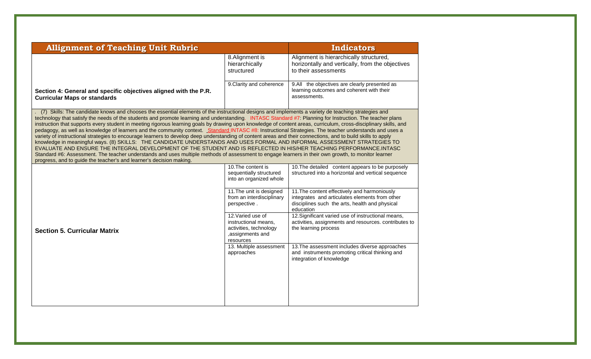| <b>Allignment of Teaching Unit Rubric</b>                                                                                                                                                                                                                                                                                                                                                                                                                                                                                                                                                                                                                                                                                                                                                                                                                                                                                                                                                                                                                                                                                                                                                                                                                                                           | <b>Indicators</b>                                                                                    |                                                                                                                                                               |
|-----------------------------------------------------------------------------------------------------------------------------------------------------------------------------------------------------------------------------------------------------------------------------------------------------------------------------------------------------------------------------------------------------------------------------------------------------------------------------------------------------------------------------------------------------------------------------------------------------------------------------------------------------------------------------------------------------------------------------------------------------------------------------------------------------------------------------------------------------------------------------------------------------------------------------------------------------------------------------------------------------------------------------------------------------------------------------------------------------------------------------------------------------------------------------------------------------------------------------------------------------------------------------------------------------|------------------------------------------------------------------------------------------------------|---------------------------------------------------------------------------------------------------------------------------------------------------------------|
|                                                                                                                                                                                                                                                                                                                                                                                                                                                                                                                                                                                                                                                                                                                                                                                                                                                                                                                                                                                                                                                                                                                                                                                                                                                                                                     | 8.Alignment is<br>hierarchically<br>structured                                                       | Alignment is hierarchically structured,<br>horizontally and vertically, from the objectives<br>to their assessments                                           |
| Section 4: General and specific objectives aligned with the P.R.<br><b>Curricular Maps or standards</b>                                                                                                                                                                                                                                                                                                                                                                                                                                                                                                                                                                                                                                                                                                                                                                                                                                                                                                                                                                                                                                                                                                                                                                                             | 9. Clarity and coherence                                                                             | 9.All the objectives are clearly presented as<br>learning outcomes and coherent with their<br>assessments.                                                    |
| . (7) Skills: The candidate knows and chooses the essential elements of the instructional designs and implements a variety de teaching strategies and<br>technology that satisfy the needs of the students and promote learning and understanding. INTASC Standard #7: Planning for Instruction. The teacher plans<br>instruction that supports every student in meeting rigorous learning goals by drawing upon knowledge of content areas, curriculum, cross-disciplinary skills, and<br>pedagogy, as well as knowledge of learners and the community context. Standard INTASC #8: Instructional Strategies. The teacher understands and uses a<br>variety of instructional strategies to encourage learners to develop deep understanding of content areas and their connections, and to build skills to apply<br>knowledge in meaningful ways. (8) SKILLS: THE CANDIDATE UNDERSTANDS AND USES FORMAL AND INFORMAL ASSESSMENT STRATEGIES TO<br>EVALUATE AND ENSURE THE INTEGRAL DEVELOPMENT OF THE STUDENT AND IS REFLECTED IN HIS/HER TEACHING PERFORMANCE.INTASC<br>Standard #6: Assessment. The teacher understands and uses multiple methods of assessment to engage learners in their own growth, to monitor learner<br>progress, and to guide the teacher's and learner's decision making. |                                                                                                      |                                                                                                                                                               |
|                                                                                                                                                                                                                                                                                                                                                                                                                                                                                                                                                                                                                                                                                                                                                                                                                                                                                                                                                                                                                                                                                                                                                                                                                                                                                                     | 10. The content is<br>sequentially structured<br>into an organized whole                             | 10. The detailed content appears to be purposely<br>structured into a horizontal and vertical sequence                                                        |
|                                                                                                                                                                                                                                                                                                                                                                                                                                                                                                                                                                                                                                                                                                                                                                                                                                                                                                                                                                                                                                                                                                                                                                                                                                                                                                     | 11. The unit is designed<br>from an interdisciplinary<br>perspective.                                | 11. The content effectively and harmoniously<br>integrates and articulates elements from other<br>disciplines such the arts, health and physical<br>education |
| <b>Section 5. Curricular Matrix</b>                                                                                                                                                                                                                                                                                                                                                                                                                                                                                                                                                                                                                                                                                                                                                                                                                                                                                                                                                                                                                                                                                                                                                                                                                                                                 | 12. Varied use of<br>instructional means,<br>activities, technology<br>,assignments and<br>resources | 12. Significant varied use of instructional means,<br>activities, assignments and resources. contributes to<br>the learning process                           |
|                                                                                                                                                                                                                                                                                                                                                                                                                                                                                                                                                                                                                                                                                                                                                                                                                                                                                                                                                                                                                                                                                                                                                                                                                                                                                                     | 13. Multiple assessment<br>approaches                                                                | 13. The assessment includes diverse approaches<br>and instruments promoting critical thinking and<br>integration of knowledge                                 |
|                                                                                                                                                                                                                                                                                                                                                                                                                                                                                                                                                                                                                                                                                                                                                                                                                                                                                                                                                                                                                                                                                                                                                                                                                                                                                                     |                                                                                                      |                                                                                                                                                               |
|                                                                                                                                                                                                                                                                                                                                                                                                                                                                                                                                                                                                                                                                                                                                                                                                                                                                                                                                                                                                                                                                                                                                                                                                                                                                                                     |                                                                                                      |                                                                                                                                                               |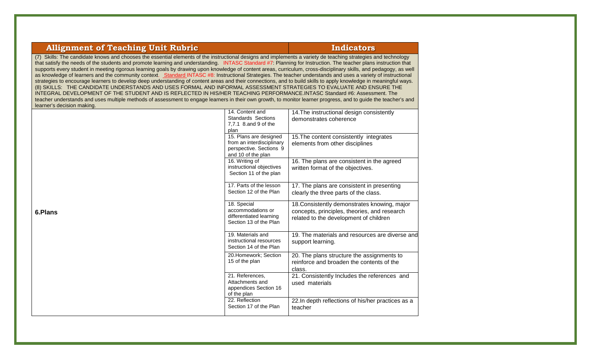### *Allignment of Teaching Unit Rubric* **Material Contracts and Indicators indicators**

**6.Plans**

(7) Skills: The candidate knows and chooses the essential elements of the instructional designs and implements a variety de teaching strategies and technology that satisfy the needs of the students and promote learning and understanding. INTASC Standard #7: Planning for Instruction. The teacher plans instruction that supports every student in meeting rigorous learning goals by drawing upon knowledge of content areas, curriculum, cross-disciplinary skills, and pedagogy, as well as knowledge of learners and the community context. Standard INTASC #8: Instructional Strategies. The teacher understands and uses a variety of instructional strategies to encourage learners to develop deep understanding of content areas and their connections, and to build skills to apply knowledge in meaningful ways. (8) SKILLS: THE CANDIDATE UNDERSTANDS AND USES FORMAL AND INFORMAL ASSESSMENT STRATEGIES TO EVALUATE AND ENSURE THE INTEGRAL DEVELOPMENT OF THE STUDENT AND IS REFLECTED IN HIS/HER TEACHING PERFORMANCE.INTASC Standard #6: Assessment. The teacher understands and uses multiple methods of assessment to engage learners in their own growth, to monitor learner progress, and to guide the teacher's and learner's decision making.

| 14. Content and<br><b>Standards Sections</b><br>7,7.1 8.and 9 of the<br>plan                         | 14. The instructional design consistently<br>demonstrates coherence                                                                    |
|------------------------------------------------------------------------------------------------------|----------------------------------------------------------------------------------------------------------------------------------------|
| 15. Plans are designed<br>from an interdisciplinary<br>perspective. Sections 9<br>and 10 of the plan | 15. The content consistently integrates<br>elements from other disciplines                                                             |
| 16. Writing of<br>instructional objectives<br>Section 11 of the plan                                 | 16. The plans are consistent in the agreed<br>written format of the objectives.                                                        |
| 17. Parts of the lesson<br>Section 12 of the Plan                                                    | 17. The plans are consistent in presenting<br>clearly the three parts of the class.                                                    |
| 18. Special<br>accommodations or<br>differentiated learning<br>Section 13 of the Plan                | 18. Consistently demonstrates knowing, major<br>concepts, principles, theories, and research<br>related to the development of children |
| 19. Materials and<br>instructional resources<br>Section 14 of the Plan                               | 19. The materials and resources are diverse and<br>support learning.                                                                   |
| 20. Homework; Section<br>15 of the plan                                                              | 20. The plans structure the assignments to<br>reinforce and broaden the contents of the<br>class.                                      |
| 21. References,<br>Attachments and<br>appendices Section 16<br>of the plan                           | 21. Consistently Includes the references and<br>used materials                                                                         |
| 22. Reflection<br>Section 17 of the Plan                                                             | 22. In depth reflections of his/her practices as a<br>teacher                                                                          |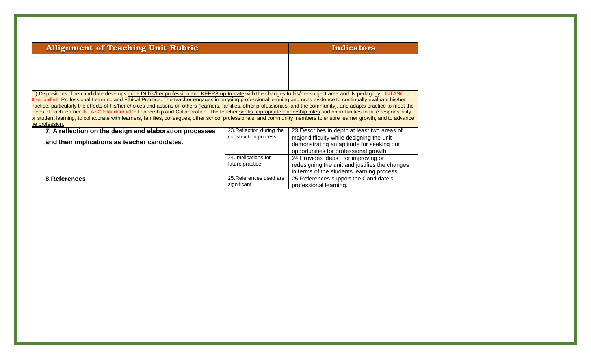| <b>Allignment of Teaching Unit Rubric</b>                                                                                                                                                                                                                                                                                                                                                                                                                                                                                                                                                                                                                                                                                                                                                                                                                                  | <b>Indicators</b>                                 |                                                                                                                                                                                  |
|----------------------------------------------------------------------------------------------------------------------------------------------------------------------------------------------------------------------------------------------------------------------------------------------------------------------------------------------------------------------------------------------------------------------------------------------------------------------------------------------------------------------------------------------------------------------------------------------------------------------------------------------------------------------------------------------------------------------------------------------------------------------------------------------------------------------------------------------------------------------------|---------------------------------------------------|----------------------------------------------------------------------------------------------------------------------------------------------------------------------------------|
|                                                                                                                                                                                                                                                                                                                                                                                                                                                                                                                                                                                                                                                                                                                                                                                                                                                                            |                                                   |                                                                                                                                                                                  |
| 0) Dispositions: The candidate develops pride IN his/her profession and KEEPS up-to-date with the changes In his/her subject area and IN pedagogy INTASC<br>ttandard #9: Professional Learning and Ethical Practice. The teacher engages in <u>ongoing professional learning</u> and uses evidence to continually evaluate his/her<br>ractice, particularly the effects of his/her choices and actions on others (learners, families, other professionals, and the community), and adapts practice to meet the<br>eeds of each learner.INTASC Standard #10: Leadership and Collaboration. The teacher seeks appropriate leadership roles and opportunities to take responsibility<br>br student learning, to collaborate with learners, families, colleagues, other school professionals, and community members to ensure learner growth, and to advance<br>he profession. |                                                   |                                                                                                                                                                                  |
| 7. A reflection on the design and elaboration processes<br>and their implications as teacher candidates.                                                                                                                                                                                                                                                                                                                                                                                                                                                                                                                                                                                                                                                                                                                                                                   | 23. Reflection during the<br>construction process | 23. Describes in depth at least two areas of<br>major difficulty while designing the unit<br>demonstrating an aptitude for seeking out<br>opportunities for professional growth. |
|                                                                                                                                                                                                                                                                                                                                                                                                                                                                                                                                                                                                                                                                                                                                                                                                                                                                            | 24. Implications for<br>future practice           | 24. Provides ideas for improving or<br>redesigning the unit and justifies the changes<br>in terms of the students learning process.                                              |
| 8. References                                                                                                                                                                                                                                                                                                                                                                                                                                                                                                                                                                                                                                                                                                                                                                                                                                                              | 25. References used are<br>significant            | 25. References support the Candidate's<br>professional learning.                                                                                                                 |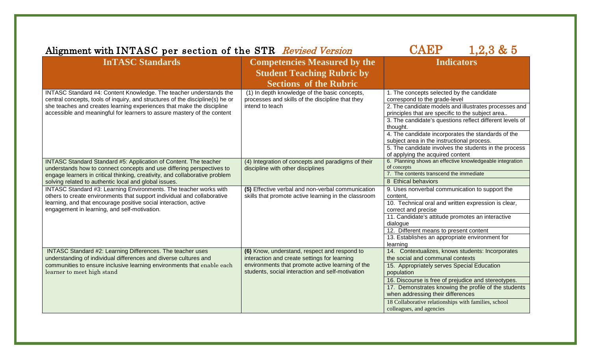| Alignment with INTASC per section of the STR Revised Version                                                                                                                                                                                                                                            | <b>CAEP</b><br>$1,2,3$ & 5                                                                                                                                                                           |                                                                                                                                                                                                                                                                                                                                                                                                                                                                  |
|---------------------------------------------------------------------------------------------------------------------------------------------------------------------------------------------------------------------------------------------------------------------------------------------------------|------------------------------------------------------------------------------------------------------------------------------------------------------------------------------------------------------|------------------------------------------------------------------------------------------------------------------------------------------------------------------------------------------------------------------------------------------------------------------------------------------------------------------------------------------------------------------------------------------------------------------------------------------------------------------|
| <b>InTASC Standards</b>                                                                                                                                                                                                                                                                                 | <b>Competencies Measured by the</b><br><b>Student Teaching Rubric by</b><br><b>Sections of the Rubric</b>                                                                                            | <b>Indicators</b>                                                                                                                                                                                                                                                                                                                                                                                                                                                |
| INTASC Standard #4: Content Knowledge. The teacher understands the<br>central concepts, tools of inquiry, and structures of the discipline(s) he or<br>she teaches and creates learning experiences that make the discipline<br>accessible and meaningful for learners to assure mastery of the content | (1) In depth knowledge of the basic concepts,<br>processes and skills of the discipline that they<br>intend to teach                                                                                 | 1. The concepts selected by the candidate<br>correspond to the grade-level<br>2. The candidate models and illustrates processes and<br>principles that are specific to the subject area<br>3. The candidate's questions reflect different levels of<br>thought.<br>4. The candidate incorporates the standards of the<br>subject area in the instructional process.<br>5. The candidate involves the students in the process<br>of applying the acquired content |
| INTASC Standard Standard #5: Application of Content. The teacher<br>understands how to connect concepts and use differing perspectives to<br>engage learners in critical thinking, creativity, and collaborative problem<br>solving related to authentic local and global issues.                       | (4) Integration of concepts and paradigms of their<br>discipline with other disciplines                                                                                                              | 6. Planning shows an effective knowledgeable integration<br>of concepts<br>7. The contents transcend the immediate<br>8 Ethical behaviors                                                                                                                                                                                                                                                                                                                        |
| INTASC Standard #3: Learning Environments. The teacher works with<br>others to create environments that support individual and collaborative<br>learning, and that encourage positive social interaction, active<br>engagement in learning, and self-motivation.                                        | (5) Effective verbal and non-verbal communication<br>skills that promote active learning in the classroom                                                                                            | 9. Uses nonverbal communication to support the<br>content,<br>10. Technical oral and written expression is clear,<br>correct and precise<br>11. Candidate's attitude promotes an interactive<br>dialogue<br>12. Different means to present content<br>13. Establishes an appropriate environment for<br>learning                                                                                                                                                 |
| INTASC Standard #2: Learning Differences. The teacher uses<br>understanding of individual differences and diverse cultures and<br>communities to ensure inclusive learning environments that enable each<br>learner to meet high stand                                                                  | (6) Know, understand, respect and respond to<br>interaction and create settings for learning<br>environments that promote active learning of the<br>students, social interaction and self-motivation | 14. Contextualizes, knows students: Incorporates<br>the social and communal contexts<br>15. Appropriately serves Special Education<br>population<br>16. Discourse is free of prejudice and stereotypes.<br>17. Demonstrates knowing the profile of the students<br>when addressing their differences<br>18 Collaborative relationships with families, school<br>colleagues, and agencies                                                                         |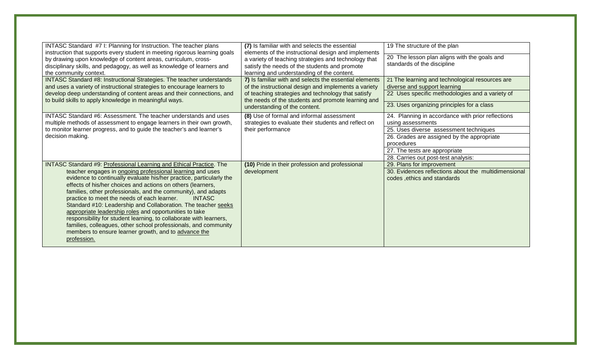| INTASC Standard #7 I: Planning for Instruction. The teacher plans<br>instruction that supports every student in meeting rigorous learning goals<br>by drawing upon knowledge of content areas, curriculum, cross-<br>disciplinary skills, and pedagogy, as well as knowledge of learners and<br>the community context.<br>INTASC Standard #8: Instructional Strategies. The teacher understands<br>and uses a variety of instructional strategies to encourage learners to<br>develop deep understanding of content areas and their connections, and<br>to build skills to apply knowledge in meaningful ways.                                                                                                                                     | (7) Is familiar with and selects the essential<br>elements of the instructional design and implements<br>a variety of teaching strategies and technology that<br>satisfy the needs of the students and promote<br>learning and understanding of the content.<br>7) Is familiar with and selects the essential elements<br>of the instructional design and implements a variety<br>of teaching strategies and technology that satisfy<br>the needs of the students and promote learning and<br>understanding of the content. | 19 The structure of the plan<br>20 The lesson plan aligns with the goals and<br>standards of the discipline<br>21 The learning and technological resources are<br>diverse and support learning<br>22 Uses specific methodologies and a variety of<br>23. Uses organizing principles for a class |
|----------------------------------------------------------------------------------------------------------------------------------------------------------------------------------------------------------------------------------------------------------------------------------------------------------------------------------------------------------------------------------------------------------------------------------------------------------------------------------------------------------------------------------------------------------------------------------------------------------------------------------------------------------------------------------------------------------------------------------------------------|-----------------------------------------------------------------------------------------------------------------------------------------------------------------------------------------------------------------------------------------------------------------------------------------------------------------------------------------------------------------------------------------------------------------------------------------------------------------------------------------------------------------------------|-------------------------------------------------------------------------------------------------------------------------------------------------------------------------------------------------------------------------------------------------------------------------------------------------|
| INTASC Standard #6: Assessment. The teacher understands and uses<br>multiple methods of assessment to engage learners in their own growth,<br>to monitor learner progress, and to guide the teacher's and learner's<br>decision making.                                                                                                                                                                                                                                                                                                                                                                                                                                                                                                            | (8) Use of formal and informal assessment<br>strategies to evaluate their students and reflect on<br>their performance                                                                                                                                                                                                                                                                                                                                                                                                      | 24. Planning in accordance with prior reflections<br>using assessments<br>25. Uses diverse assessment techniques<br>26. Grades are assigned by the appropriate<br>procedures<br>27. The tests are appropriate<br>28. Carries out post-test analysis:                                            |
| INTASC Standard #9: Professional Learning and Ethical Practice. The<br>teacher engages in ongoing professional learning and uses<br>evidence to continually evaluate his/her practice, particularly the<br>effects of his/her choices and actions on others (learners,<br>families, other professionals, and the community), and adapts<br>practice to meet the needs of each learner.<br><b>INTASC</b><br>Standard #10: Leadership and Collaboration. The teacher seeks<br>appropriate leadership roles and opportunities to take<br>responsibility for student learning, to collaborate with learners,<br>families, colleagues, other school professionals, and community<br>members to ensure learner growth, and to advance the<br>profession. | (10) Pride in their profession and professional<br>development                                                                                                                                                                                                                                                                                                                                                                                                                                                              | 29. Plans for improvement<br>30. Evidences reflections about the multidimensional<br>codes, ethics and standards                                                                                                                                                                                |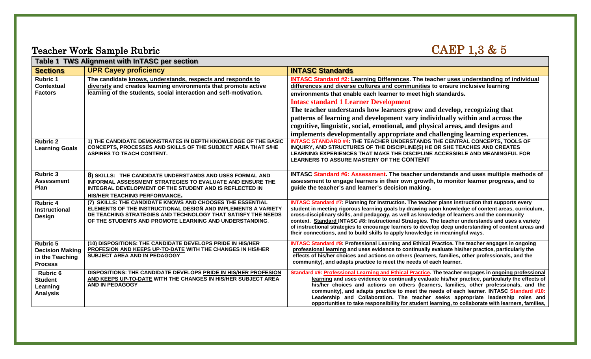# Teacher Work Sample Rubric  $\begin{array}{cc} \text{Cauchen} & \text{CAEP 1,3 & 5} \end{array}$

|                                                                                | Table 1 TWS Alignment with InTASC per section                                                                                                                                                                                                         |                                                                                                                                                                                                                                                                                                                                                                                                                                                                                                                                                                                                                      |  |  |
|--------------------------------------------------------------------------------|-------------------------------------------------------------------------------------------------------------------------------------------------------------------------------------------------------------------------------------------------------|----------------------------------------------------------------------------------------------------------------------------------------------------------------------------------------------------------------------------------------------------------------------------------------------------------------------------------------------------------------------------------------------------------------------------------------------------------------------------------------------------------------------------------------------------------------------------------------------------------------------|--|--|
| <b>Sections</b>                                                                | <b>UPR Cayey proficiency</b>                                                                                                                                                                                                                          | <b>INTASC Standards</b>                                                                                                                                                                                                                                                                                                                                                                                                                                                                                                                                                                                              |  |  |
| <b>Rubric 1</b><br><b>Contextual</b><br><b>Factors</b>                         | The candidate knows, understands, respects and responds to<br>diversity and creates learning environments that promote active<br>learning of the students, social interaction and self-motivation.                                                    | INTASC Standard #2: Learning Differences. The teacher uses understanding of individual<br>differences and diverse cultures and communities to ensure inclusive learning<br>environments that enable each learner to meet high standards.<br><b>Intasc standard 1 Learner Development</b><br>The teacher understands how learners grow and develop, recognizing that<br>patterns of learning and development vary individually within and across the<br>cognitive, linguistic, social, emotional, and physical areas, and designs and<br>implements developmentally appropriate and challenging learning experiences. |  |  |
| <b>Rubric 2</b><br><b>Learning Goals</b>                                       | 1) THE CANDIDATE DEMONSTRATES IN DEPTH KNOWLEDGE OF THE BASIC<br>CONCEPTS, PROCESSES AND SKILLS OF THE SUBJECT AREA THAT S/HE<br><b>ASPIRES TO TEACH CONTENT.</b>                                                                                     | <b>INTASC STANDARD #4: THE TEACHER UNDERSTANDS THE CENTRAL CONCEPTS, TOOLS OF</b><br>INQUIRY, AND STRUCTURES OF THE DISCIPLINE(S) HE OR SHE TEACHES AND CREATES<br>LEARNING EXPERIENCES THAT MAKE THE DISCIPLINE ACCESSIBLE AND MEANINGFUL FOR<br>LEARNERS TO ASSURE MASTERY OF THE CONTENT                                                                                                                                                                                                                                                                                                                          |  |  |
| <b>Rubric 3</b><br><b>Assessment</b><br>Plan                                   | 8) SKILLS: THE CANDIDATE UNDERSTANDS AND USES FORMAL AND<br><b>INFORMAL ASSESSMENT STRATEGIES TO EVALUATE AND ENSURE THE</b><br>INTEGRAL DEVELOPMENT OF THE STUDENT AND IS REFLECTED IN<br>HIS/HER TEACHING PERFORMANCE.                              | INTASC Standard #6: Assessment. The teacher understands and uses multiple methods of<br>assessment to engage learners in their own growth, to monitor learner progress, and to<br>guide the teacher's and learner's decision making.                                                                                                                                                                                                                                                                                                                                                                                 |  |  |
| <b>Rubric 4</b><br><b>Instructional</b><br><b>Design</b>                       | (7) SKILLS: THE CANDIDATE KNOWS AND CHOOSES THE ESSENTIAL<br>ELEMENTS OF THE INSTRUCTIONAL DESIGN AND IMPLEMENTS A VARIETY<br>DE TEACHING STRATEGIES AND TECHNOLOGY THAT SATISFY THE NEEDS<br>OF THE STUDENTS AND PROMOTE LEARNING AND UNDERSTANDING. | INTASC Standard #7: Planning for Instruction. The teacher plans instruction that supports every<br>student in meeting rigorous learning goals by drawing upon knowledge of content areas, curriculum,<br>cross-disciplinary skills, and pedagogy, as well as knowledge of learners and the community<br>context. Standard INTASC #8: Instructional Strategies. The teacher understands and uses a variety<br>of instructional strategies to encourage learners to develop deep understanding of content areas and<br>their connections, and to build skills to apply knowledge in meaningful ways.                   |  |  |
| <b>Rubric 5</b><br><b>Decision Making</b><br>in the Teaching<br><b>Process</b> | (10) DISPOSITIONS: THE CANDIDATE DEVELOPS PRIDE IN HIS/HER<br>PROFESION AND KEEPS UP-TO-DATE WITH THE CHANGES IN HIS/HER<br>SUBJECT AREA AND IN PEDAGOGY                                                                                              | INTASC Standard #9: Professional Learning and Ethical Practice. The teacher engages in ongoing<br>professional learning and uses evidence to continually evaluate his/her practice, particularly the<br>effects of his/her choices and actions on others (learners, families, other professionals, and the<br>community), and adapts practice to meet the needs of each learner.                                                                                                                                                                                                                                     |  |  |
| <b>Rubric 6</b><br><b>Student</b><br>Learning<br><b>Analysis</b>               | DISPOSITIONS: THE CANDIDATE DEVELOPS PRIDE IN HIS/HER PROFESION<br>AND KEEPS UP-TO-DATE WITH THE CHANGES IN HIS/HER SUBJECT AREA<br><b>AND IN PEDAGOGY</b>                                                                                            | Standard #9: Professional Learning and Ethical Practice. The teacher engages in ongoing professional<br>learning and uses evidence to continually evaluate his/her practice, particularly the effects of<br>his/her choices and actions on others (learners, families, other professionals, and the<br>community), and adapts practice to meet the needs of each learner. INTASC Standard #10:<br>Leadership and Collaboration. The teacher seeks appropriate leadership roles and<br>opportunities to take responsibility for student learning, to collaborate with learners, families,                             |  |  |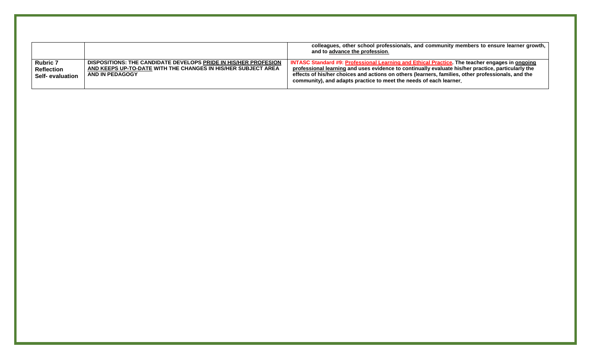|                                                                 |                                                                                                                                                     | colleagues, other school professionals, and community members to ensure learner growth,<br>and to advance the profession.                                                                                                                                                                                                                                                        |
|-----------------------------------------------------------------|-----------------------------------------------------------------------------------------------------------------------------------------------------|----------------------------------------------------------------------------------------------------------------------------------------------------------------------------------------------------------------------------------------------------------------------------------------------------------------------------------------------------------------------------------|
| <b>Rubric 7</b><br><b>Reflection</b><br><b>Self-</b> evaluation | DISPOSITIONS: THE CANDIDATE DEVELOPS PRIDE IN HIS/HER PROFESION<br>AND KEEPS UP-TO-DATE WITH THE CHANGES IN HIS/HER SUBJECT AREA<br>AND IN PEDAGOGY | INTASC Standard #9: Professional Learning and Ethical Practice. The teacher engages in ongoing<br>professional learning and uses evidence to continually evaluate his/her practice, particularly the<br>effects of his/her choices and actions on others (learners, families, other professionals, and the<br>community), and adapts practice to meet the needs of each learner. |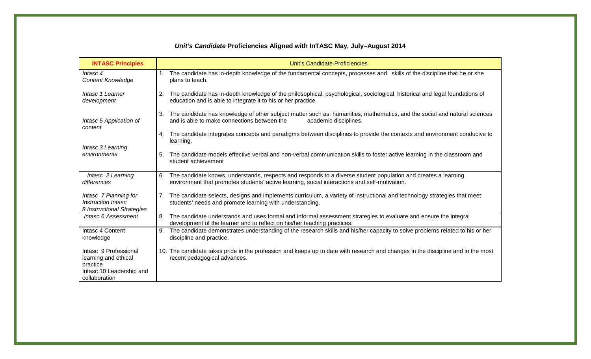| <b>INTASC Principles</b>                                                                               | Unit's Candidate Proficiencies                                                                                                                                                                                  |
|--------------------------------------------------------------------------------------------------------|-----------------------------------------------------------------------------------------------------------------------------------------------------------------------------------------------------------------|
| Intasc 4<br><b>Content Knowledge</b>                                                                   | The candidate has in-depth knowledge of the fundamental concepts, processes and skills of the discipline that he or she<br>plans to teach.                                                                      |
| Intasc 1 Learner<br>development                                                                        | 2.<br>The candidate has in-depth knowledge of the philosophical, psychological, sociological, historical and legal foundations of<br>education and is able to integrate it to his or her practice.              |
| Intasc 5 Application of<br>content                                                                     | 3.<br>The candidate has knowledge of other subject matter such as: humanities, mathematics, and the social and natural sciences<br>and is able to make connections between the<br>academic disciplines.         |
|                                                                                                        | The candidate integrates concepts and paradigms between disciplines to provide the contexts and environment conducive to<br>4.<br>learning.                                                                     |
| Intasc 3 Learning<br>environments                                                                      | The candidate models effective verbal and non-verbal communication skills to foster active learning in the classroom and<br>5.<br>student achievement                                                           |
| Intasc 2 Learning<br>differences                                                                       | The candidate knows, understands, respects and responds to a diverse student population and creates a learning<br>environment that promotes students' active learning, social interactions and self-motivation. |
| Intasc 7 Planning for<br>Instruction Intasc<br>8 Instructional Strategies                              | The candidate selects, designs and implements curriculum, a variety of instructional and technology strategies that meet<br>7.<br>students' needs and promote learning with understanding.                      |
| Intasc 6 Assessment                                                                                    | The candidate understands and uses formal and informal assessment strategies to evaluate and ensure the integral<br>8.<br>development of the learner and to reflect on his/her teaching practices.              |
| Intasc 4 Content<br>knowledge                                                                          | The candidate demonstrates understanding of the research skills and his/her capacity to solve problems related to his or her<br>9.<br>discipline and practice.                                                  |
| Intasc 9 Professional<br>learning and ethical<br>practice<br>Intasc 10 Leadership and<br>collaboration | 10. The candidate takes pride in the profession and keeps up to date with research and changes in the discipline and in the most<br>recent pedagogical advances.                                                |

### *Unit's Candidate* **Proficiencies Aligned with InTASC May, July–August 2014**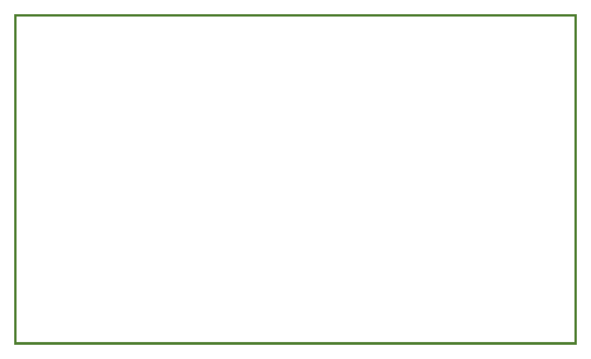![](_page_14_Picture_0.jpeg)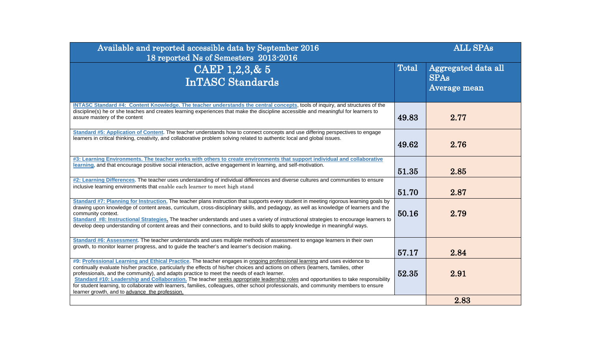| Available and reported accessible data by September 2016<br>18 reported Ns of Semesters 2013-2016                                                                                                                                                                                                                                                                                                                                                                                                                                                                                                                                                                                               |              | <b>ALL SPAs</b>                                    |
|-------------------------------------------------------------------------------------------------------------------------------------------------------------------------------------------------------------------------------------------------------------------------------------------------------------------------------------------------------------------------------------------------------------------------------------------------------------------------------------------------------------------------------------------------------------------------------------------------------------------------------------------------------------------------------------------------|--------------|----------------------------------------------------|
| CAEP 1,2,3,& 5<br><b>InTASC Standards</b>                                                                                                                                                                                                                                                                                                                                                                                                                                                                                                                                                                                                                                                       | <b>Total</b> | Aggregated data all<br><b>SPAs</b><br>Average mean |
| INTASC Standard #4: Content Knowledge. The teacher understands the central concepts, tools of inquiry, and structures of the<br>discipline(s) he or she teaches and creates learning experiences that make the discipline accessible and meaningful for learners to<br>assure mastery of the content                                                                                                                                                                                                                                                                                                                                                                                            | 49.83        | 2.77                                               |
| Standard #5: Application of Content. The teacher understands how to connect concepts and use differing perspectives to engage<br>learners in critical thinking, creativity, and collaborative problem solving related to authentic local and global issues.                                                                                                                                                                                                                                                                                                                                                                                                                                     | 49.62        | 2.76                                               |
| #3: Learning Environments. The teacher works with others to create environments that support individual and collaborative<br>learning, and that encourage positive social interaction, active engagement in learning, and self-motivation.                                                                                                                                                                                                                                                                                                                                                                                                                                                      | 51.35        | 2.85                                               |
| #2: Learning Differences. The teacher uses understanding of individual differences and diverse cultures and communities to ensure<br>inclusive learning environments that enable each learner to meet high stand                                                                                                                                                                                                                                                                                                                                                                                                                                                                                | 51.70        | 2.87                                               |
| Standard #7: Planning for Instruction. The teacher plans instruction that supports every student in meeting rigorous learning goals by<br>drawing upon knowledge of content areas, curriculum, cross-disciplinary skills, and pedagogy, as well as knowledge of learners and the<br>community context.<br>Standard #8: Instructional Strategies. The teacher understands and uses a variety of instructional strategies to encourage learners to<br>develop deep understanding of content areas and their connections, and to build skills to apply knowledge in meaningful ways.                                                                                                               | 50.16        | 2.79                                               |
| Standard #6: Assessment. The teacher understands and uses multiple methods of assessment to engage learners in their own<br>growth, to monitor learner progress, and to guide the teacher's and learner's decision making.                                                                                                                                                                                                                                                                                                                                                                                                                                                                      | 57.17        | 2.84                                               |
| #9: Professional Learning and Ethical Practice. The teacher engages in ongoing professional learning and uses evidence to<br>continually evaluate his/her practice, particularly the effects of his/her choices and actions on others (learners, families, other<br>professionals, and the community), and adapts practice to meet the needs of each learner.<br>Standard #10: Leadership and Collaboration. The teacher seeks appropriate leadership roles and opportunities to take responsibility<br>for student learning, to collaborate with learners, families, colleagues, other school professionals, and community members to ensure<br>learner growth, and to advance the profession. | 52.35        | 2.91                                               |
|                                                                                                                                                                                                                                                                                                                                                                                                                                                                                                                                                                                                                                                                                                 |              | 2.83                                               |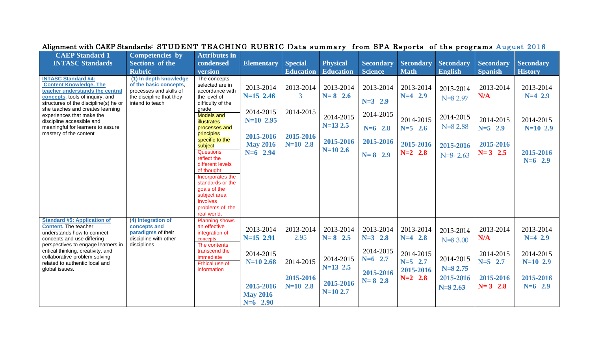| <b>CAEP</b> Standard 1                                                                                                                                                                                                                                                                                                                  | <b>Competencies</b> by                                                                                                     | <b>Attributes in</b>                                                                                                                                               |                                                          |                                                                                    |                          |                                                                                           |                        |                          |                          |                         |
|-----------------------------------------------------------------------------------------------------------------------------------------------------------------------------------------------------------------------------------------------------------------------------------------------------------------------------------------|----------------------------------------------------------------------------------------------------------------------------|--------------------------------------------------------------------------------------------------------------------------------------------------------------------|----------------------------------------------------------|------------------------------------------------------------------------------------|--------------------------|-------------------------------------------------------------------------------------------|------------------------|--------------------------|--------------------------|-------------------------|
| <b>INTASC Standards</b>                                                                                                                                                                                                                                                                                                                 | <b>Sections of the</b>                                                                                                     | condensed                                                                                                                                                          | <b>Elementary</b>                                        | <b>Special</b>                                                                     | <b>Physical</b>          | <b>Secondary</b>                                                                          | <b>Secondary</b>       | <b>Secondary</b>         | <b>Secondary</b>         | <b>Secondary</b>        |
|                                                                                                                                                                                                                                                                                                                                         | <b>Rubric</b>                                                                                                              | version                                                                                                                                                            |                                                          | <b>Education</b>                                                                   | <b>Education</b>         | Science                                                                                   | <b>Math</b>            | <b>English</b>           | <b>Spanish</b>           | <b>History</b>          |
| <b>INTASC Standard #4:</b><br><b>Content Knowledge. The</b><br>teacher understands the central<br>concepts, tools of inquiry, and<br>structures of the discipline(s) he or<br>she teaches and creates learning<br>experiences that make the<br>discipline accessible and<br>meaningful for learners to assure<br>mastery of the content | (1) In depth knowledge<br>of the basic concepts,<br>processes and skills of<br>the discipline that they<br>intend to teach | The concepts<br>selected are in<br>accordance with<br>the level of<br>difficulty of the<br>grade                                                                   | 2013-2014<br>$N=15$ 2.46                                 | 2013-2014<br>3                                                                     | 2013-2014<br>$N = 8$ 2.6 | 2013-2014<br>$N=3$ 2.9                                                                    | 2013-2014<br>$N=4$ 2.9 | 2013-2014<br>N=8 2.97    | 2013-2014<br>N/A         | 2013-2014<br>$N=4$ 2.9  |
|                                                                                                                                                                                                                                                                                                                                         |                                                                                                                            | <b>Models and</b><br>illustrates<br>processes and<br>principles<br>specific to the<br>subject<br><b>Questions</b><br>reflect the<br>different levels<br>of thought | 2014-2015<br>$N=10$ 2.95                                 | 2014-2015<br>2015-2016<br>2015-2016<br>$N=10$ 2.8<br><b>May 2016</b><br>$N=6$ 2.94 | 2014-2015<br>$N=132.5$   | 2014-2015<br>$N=6$ 2.8                                                                    | 2014-2015<br>$N=5$ 2.6 | 2014-2015<br>$N = 82.88$ | 2014-2015<br>$N=5$ 2.9   | 2014-2015<br>$N=10$ 2.9 |
|                                                                                                                                                                                                                                                                                                                                         |                                                                                                                            |                                                                                                                                                                    |                                                          |                                                                                    | 2015-2016<br>$N=102.6$   | 2015-2016                                                                                 | 2015-2016              | 2015-2016                | 2015-2016                |                         |
|                                                                                                                                                                                                                                                                                                                                         |                                                                                                                            |                                                                                                                                                                    |                                                          |                                                                                    |                          | $N = 8$ 2.9                                                                               | $N=2$ 2.8              | $N=8-2.63$               | $N = 3$ 2.5              | 2015-2016<br>$N=6$ 2.9  |
|                                                                                                                                                                                                                                                                                                                                         |                                                                                                                            | Incorporates the<br>standards or the<br>goals of the                                                                                                               |                                                          |                                                                                    |                          |                                                                                           |                        |                          |                          |                         |
|                                                                                                                                                                                                                                                                                                                                         |                                                                                                                            | subject area<br>Involves<br>problems of the<br>real world.                                                                                                         |                                                          |                                                                                    |                          |                                                                                           |                        |                          |                          |                         |
|                                                                                                                                                                                                                                                                                                                                         | (4) Integration of                                                                                                         |                                                                                                                                                                    |                                                          |                                                                                    |                          |                                                                                           |                        |                          |                          |                         |
| <b>Standard #5: Application of</b><br><b>Content.</b> The teacher<br>understands how to connect<br>concepts and use differing<br>perspectives to engage learners in<br>critical thinking, creativity, and<br>collaborative problem solving<br>related to authentic local and<br>global issues.                                          | concepts and<br>paradigms of their<br>discipline with other<br>disciplines                                                 | <b>Planning shows</b><br>an effective<br>integration of<br>concepts<br>The contents<br>transcend the<br>immediate<br>Ethical use of                                | 2013-2014<br>$N=15$ 2.91                                 | 2013-2014<br>2.95                                                                  | 2013-2014<br>$N = 8$ 2.5 | 2013-2014<br>$N=3$ 2.8                                                                    | 2013-2014<br>$N=4$ 2.8 | 2013-2014<br>$N = 83.00$ | 2013-2014<br>N/A         | 2013-2014<br>$N=4$ 2.9  |
|                                                                                                                                                                                                                                                                                                                                         |                                                                                                                            |                                                                                                                                                                    | 2014-2015<br>$N=10$ 2.68<br>2015-2016<br><b>May 2016</b> | 2014-2015<br>2015-2016<br>$N=10$ 2.8                                               | 2014-2015<br>$N=13$ 2.5  | 2014-2015<br>$N=6$ 2.7<br>$N=5$ 2.7<br>2015-2016<br>2015-2016<br>$N=2$ 2.8<br>$N = 8$ 2.8 | 2014-2015              | 2014-2015<br>$N = 82.75$ | 2014-2015<br>$N=5$ 2.7   | 2014-2015<br>$N=10$ 2.9 |
|                                                                                                                                                                                                                                                                                                                                         |                                                                                                                            | information                                                                                                                                                        |                                                          |                                                                                    | 2015-2016<br>$N=102.7$   |                                                                                           |                        | 2015-2016<br>$N = 82.63$ | 2015-2016<br>$N = 3$ 2.8 | 2015-2016<br>$N=6$ 2.9  |
|                                                                                                                                                                                                                                                                                                                                         |                                                                                                                            |                                                                                                                                                                    | $N=6$ 2.90                                               |                                                                                    |                          |                                                                                           |                        |                          |                          |                         |

# Alignment with CAEP Standards: STUDENT TEACHING RUBRIC Data summary from SPA Reports of the programs August 2016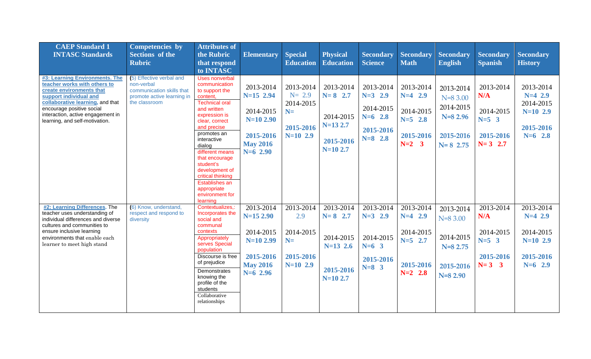| <b>Competencies</b> by                                                                                             | <b>Attributes of</b>                                                                                                                                                                            |                                                                                                   |                                                                        |                                                                 |                                                                            |                                                                          |                                                                                   |                                                                      |                                                                             |
|--------------------------------------------------------------------------------------------------------------------|-------------------------------------------------------------------------------------------------------------------------------------------------------------------------------------------------|---------------------------------------------------------------------------------------------------|------------------------------------------------------------------------|-----------------------------------------------------------------|----------------------------------------------------------------------------|--------------------------------------------------------------------------|-----------------------------------------------------------------------------------|----------------------------------------------------------------------|-----------------------------------------------------------------------------|
|                                                                                                                    |                                                                                                                                                                                                 |                                                                                                   |                                                                        |                                                                 |                                                                            |                                                                          |                                                                                   |                                                                      | <b>Secondary</b>                                                            |
|                                                                                                                    |                                                                                                                                                                                                 |                                                                                                   |                                                                        |                                                                 |                                                                            |                                                                          |                                                                                   |                                                                      | <b>History</b>                                                              |
| (5) Effective verbal and<br>non-verbal<br>communication skills that<br>promote active learning in<br>the classroom | Uses nonverbal<br>communication<br>to support the<br>content,<br><b>Technical oral</b><br>and written<br>expression is<br>clear, correct<br>and precise<br>promotes an<br>interactive<br>dialog | 2013-2014<br>$N=15$ 2.94<br>2014-2015<br>$N=102.90$<br>2015-2016<br><b>May 2016</b>               | 2013-2014<br>$N = 2.9$<br>2014-2015<br>$N=$<br>2015-2016<br>$N=10$ 2.9 | 2013-2014<br>$N = 8$ 2.7<br>2014-2015<br>$N=132.7$<br>2015-2016 | 2013-2014<br>$N=3$ 2.9<br>2014-2015<br>$N=6$ 2.8<br>2015-2016<br>$N=8$ 2.8 | 2013-2014<br>$N=4$ 2.9<br>2014-2015<br>$N=5$ 2.8<br>2015-2016<br>$N=2$ 3 | 2013-2014<br>$N = 83.00$<br>2014-2015<br>$N = 82.96$<br>2015-2016<br>$N = 8$ 2.75 | 2013-2014<br>N/A<br>2014-2015<br>$N=5$ 3<br>2015-2016<br>$N = 3$ 2.7 | 2013-2014<br>$N=4$ 2.9<br>2014-2015<br>$N=10$ 2.9<br>2015-2016<br>$N=6$ 2.8 |
|                                                                                                                    | that encourage<br>student's<br>development of<br>critical thinking<br><b>Establishes an</b><br>appropriate<br>environment for<br>learning                                                       |                                                                                                   |                                                                        |                                                                 |                                                                            |                                                                          |                                                                                   |                                                                      |                                                                             |
| respect and respond to<br>diversity                                                                                | Incorporates the<br>social and                                                                                                                                                                  | 2013-2014<br>$N=152.90$                                                                           | 2013-2014<br>2.9                                                       | 2013-2014<br>$N = 8$ 2.7                                        | 2013-2014<br>$N=3$ 2.9                                                     | 2013-2014<br>$N=4$ 2.9                                                   | 2013-2014<br>$N = 83.00$                                                          | 2013-2014<br>N/A                                                     | 2013-2014<br>$N=4$ 2.9                                                      |
|                                                                                                                    | contexts<br>Appropriately<br>serves Special<br>population                                                                                                                                       | 2014-2015<br>$N=10$ 2.99                                                                          | 2014-2015<br>$N=$                                                      | 2014-2015<br>$N=13$ 2.6                                         | 2014-2015<br>$N=6$ 3                                                       | 2014-2015<br>$N=5$ 2.7                                                   | 2014-2015<br>$N = 82.75$                                                          | 2014-2015<br>$N=5$ 3                                                 | 2014-2015<br>$N=10$ 2.9                                                     |
|                                                                                                                    | Discourse is free<br>of prejudice<br>Demonstrates<br>knowing the<br>profile of the<br>students<br>Collaborative<br>relationships                                                                | 2015-2016<br><b>May 2016</b><br>$N=6$ 2.96                                                        | 2015-2016<br>$N=10$ 2.9                                                | 2015-2016<br>$N=102.7$                                          | 2015-2016<br>$N=8$ 3                                                       | 2015-2016<br>$N=2$ 2.8                                                   | 2015-2016<br>$N = 82.90$                                                          | 2015-2016<br>$N = 3$ 3                                               | 2015-2016<br>$N=6$ 2.9                                                      |
|                                                                                                                    | Sections of the<br><b>Rubric</b><br>(6) Know, understand,                                                                                                                                       | the Rubric<br>that respond<br>to <b>INTASC</b><br>different means<br>Contextualizes.:<br>communal | <b>Elementary</b><br>$N=6$ 2.90                                        | <b>Special</b><br><b>Education</b>                              | <b>Physical</b><br><b>Education</b><br>$N=102.7$                           | <b>Secondary</b><br><b>Science</b>                                       | <b>Secondary</b><br><b>Math</b>                                                   | <b>Secondary</b><br><b>English</b>                                   | <b>Secondary</b><br><b>Spanish</b>                                          |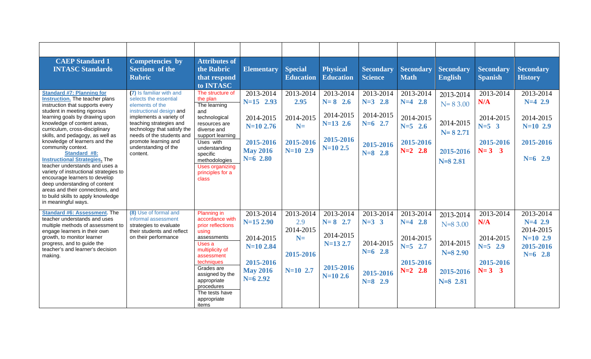| <b>CAEP</b> Standard 1<br><b>INTASC Standards</b>                                                                                                                                                                                                                                                                                                                                                                                                                                                                                                                                                                                                | <b>Competencies</b> by<br><b>Sections of the</b><br><b>Rubric</b>                                                                                                                                                                                                              | <b>Attributes of</b><br>the Rubric<br>that respond<br>to <b>INTASC</b>                                                                                                                                                                              | <b>Elementary</b>                                                                                  | <b>Special</b><br><b>Education</b>                                | <b>Physical</b><br><b>Education</b>                                            | <b>Secondary</b><br><b>Science</b>                                             | <b>Secondary</b><br><b>Math</b>                                            | <b>Secondary</b><br><b>English</b>                                               | <b>Secondary</b><br><b>Spanish</b>                                 | <b>Secondary</b><br><b>History</b>                                          |
|--------------------------------------------------------------------------------------------------------------------------------------------------------------------------------------------------------------------------------------------------------------------------------------------------------------------------------------------------------------------------------------------------------------------------------------------------------------------------------------------------------------------------------------------------------------------------------------------------------------------------------------------------|--------------------------------------------------------------------------------------------------------------------------------------------------------------------------------------------------------------------------------------------------------------------------------|-----------------------------------------------------------------------------------------------------------------------------------------------------------------------------------------------------------------------------------------------------|----------------------------------------------------------------------------------------------------|-------------------------------------------------------------------|--------------------------------------------------------------------------------|--------------------------------------------------------------------------------|----------------------------------------------------------------------------|----------------------------------------------------------------------------------|--------------------------------------------------------------------|-----------------------------------------------------------------------------|
| <b>Standard #7: Planning for</b><br><b>Instruction.</b> The teacher plans<br>instruction that supports every<br>student in meeting rigorous<br>learning goals by drawing upon<br>knowledge of content areas,<br>curriculum, cross-disciplinary<br>skills, and pedagogy, as well as<br>knowledge of learners and the<br>community context.<br>Standard #8:<br><b>Instructional Strategies. The</b><br>teacher understands and uses a<br>variety of instructional strategies to<br>encourage learners to develop<br>deep understanding of content<br>areas and their connections, and<br>to build skills to apply knowledge<br>in meaningful ways. | (7) Is familiar with and<br>selects the essential<br>elements of the<br>instructional design and<br>implements a variety of<br>teaching strategies and<br>technology that satisfy the<br>needs of the students and<br>promote learning and<br>understanding of the<br>content. | The structure of<br>the plan<br>The learning<br>and<br>technological<br>resources are<br>diverse and<br>support learning<br>Uses with<br>understanding<br>specific<br>methodologies<br>Uses organizing<br>principles for a<br>class                 | 2013-2014<br>$N=15$ 2.93<br>2014-2015<br>$N=10$ 2.76<br>2015-2016<br><b>May 2016</b><br>$N=6$ 2.80 | 2013-2014<br>2.95<br>2014-2015<br>$N=$<br>2015-2016<br>$N=10$ 2.9 | 2013-2014<br>$N = 8$ 2.6<br>2014-2015<br>$N=13$ 2.6<br>2015-2016<br>$N=10$ 2.5 | $2013 - 2014$<br>$N=3$ 2.8<br>2014-2015<br>$N=6$ 2.7<br>2015-2016<br>$N=8$ 2.8 | 2013-2014<br>$N=4$ 2.8<br>2014-2015<br>$N=5$ 2.6<br>2015-2016<br>$N=2$ 2.8 | 2013-2014<br>$N = 83.00$<br>2014-2015<br>$N = 82.71$<br>2015-2016<br>$N = 82.81$ | 2013-2014<br>N/A<br>2014-2015<br>$N=5$ 3<br>2015-2016<br>$N=3$ 3   | 2013-2014<br>$N=4$ 2.9<br>2014-2015<br>$N=10$ 2.9<br>2015-2016<br>$N=6$ 2.9 |
| <b>Standard #6: Assessment. The</b><br>teacher understands and uses<br>multiple methods of assessment to<br>engage learners in their own<br>growth, to monitor learner<br>progress, and to guide the<br>teacher's and learner's decision<br>making.                                                                                                                                                                                                                                                                                                                                                                                              | (8) Use of formal and<br>informal assessment<br>strategies to evaluate<br>their students and reflect<br>on their performance                                                                                                                                                   | <b>Planning in</b><br>accordance with<br>prior reflections<br>using<br>assessments<br>Uses a<br>multiplicity of<br>assessment<br>techniques<br>Grades are<br>assigned by the<br>appropriate<br>procedures<br>The tests have<br>appropriate<br>items | 2013-2014<br>$N=152.90$<br>2014-2015<br>$N=10$ 2.84<br>2015-2016<br><b>May 2016</b><br>$N=62.92$   | 2013-2014<br>2.9<br>2014-2015<br>$N =$<br>2015-2016<br>$N=10$ 2.7 | 2013-2014<br>$N = 8$ 2.7<br>2014-2015<br>$N=132.7$<br>2015-2016<br>$N=102.6$   | $2013 - 2014$<br>$N=3$ 3<br>2014-2015<br>$N=6$ 2.8<br>2015-2016<br>$N=8$ 2.9   | 2013-2014<br>$N=4$ 2.8<br>2014-2015<br>$N=5$ 2.7<br>2015-2016<br>$N=2$ 2.8 | 2013-2014<br>$N = 83.00$<br>2014-2015<br>$N=82.90$<br>2015-2016<br>$N=8$ 2.81    | 2013-2014<br>N/A<br>2014-2015<br>$N=5$ 2.9<br>2015-2016<br>$N=3$ 3 | 2013-2014<br>$N=4$ 2.9<br>2014-2015<br>$N=10$ 2.9<br>2015-2016<br>$N=6$ 2.8 |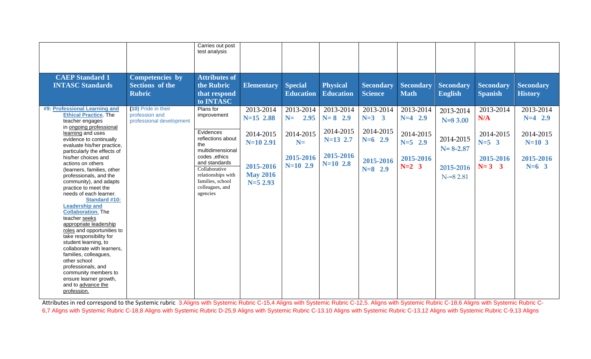|                                                      |                                       | Carries out post<br>test analysis   |                   |                  |                  |                  |                  |                  |                  |                  |
|------------------------------------------------------|---------------------------------------|-------------------------------------|-------------------|------------------|------------------|------------------|------------------|------------------|------------------|------------------|
|                                                      |                                       |                                     |                   |                  |                  |                  |                  |                  |                  |                  |
| <b>CAEP Standard 1</b>                               | <b>Competencies</b> by                | <b>Attributes of</b>                |                   |                  |                  |                  |                  |                  |                  |                  |
| <b>INTASC Standards</b>                              | <b>Sections</b> of the                | the Rubric                          | <b>Elementary</b> | <b>Special</b>   | <b>Physical</b>  | <b>Secondary</b> | <b>Secondary</b> | <b>Secondary</b> | <b>Secondary</b> | <b>Secondary</b> |
|                                                      | <b>Rubric</b>                         | that respond<br>to <b>INTASC</b>    |                   | <b>Education</b> | <b>Education</b> | <b>Science</b>   | <b>Math</b>      | <b>English</b>   | <b>Spanish</b>   | <b>History</b>   |
| #9: Professional Learning and                        | (10) Pride in their<br>profession and | Plans for                           | 2013-2014         | 2013-2014        | 2013-2014        | 2013-2014        | 2013-2014        | 2013-2014        | 2013-2014        | 2013-2014        |
| <b>Ethical Practice. The</b><br>teacher engages      | professional development              | improvement                         | $N=15$ 2.88       | $N = 2.95$       | $N = 8$ 2.9      | $N=3$ 3          | $N=4$ 2.9        | $N = 8,3.00$     | N/A              | $N=4$ 2.9        |
| in ongoing professional                              |                                       | Evidences                           |                   |                  | 2014-2015        | 2014-2015        |                  |                  |                  |                  |
| learning and uses<br>evidence to continually         |                                       | reflections about                   | 2014-2015         | 2014-2015        | $N=13$ 2.7       | $N=6$ 2.9        | 2014-2015        | 2014-2015        | 2014-2015        | 2014-2015        |
| evaluate his/her practice,                           |                                       | the                                 | $N=10$ 2.91       | $N=$             |                  |                  | $N=5$ 2.9        | $N = 8 - 2.87$   | $N=5$ 3          | $N=10$ 3         |
| particularly the effects of<br>his/her choices and   |                                       | multidimensional<br>codes, ethics   |                   | 2015-2016        | 2015-2016        |                  | 2015-2016        |                  | 2015-2016        | 2015-2016        |
| actions on others                                    |                                       | and standards                       | 2015-2016         | $N=10$ 2.9       | $N=10$ 2.8       | 2015-2016        | $N=2$ 3          |                  | $N=3$ 3          | $N=6$ 3          |
| (learners, families, other<br>professionals, and the |                                       | Collaborative<br>relationships with | <b>May 2016</b>   |                  |                  | $N=8$ 2.9        |                  | 2015-2016        |                  |                  |
| community), and adapts                               |                                       | families, school                    | $N=5$ 2.93        |                  |                  |                  |                  | $N=82.81$        |                  |                  |
| practice to meet the                                 |                                       | colleagues, and                     |                   |                  |                  |                  |                  |                  |                  |                  |
| needs of each learner.<br><b>Standard #10:</b>       |                                       | agencies                            |                   |                  |                  |                  |                  |                  |                  |                  |
| <b>Leadership and</b>                                |                                       |                                     |                   |                  |                  |                  |                  |                  |                  |                  |
| <b>Collaboration.</b> The                            |                                       |                                     |                   |                  |                  |                  |                  |                  |                  |                  |
| teacher seeks<br>appropriate leadership              |                                       |                                     |                   |                  |                  |                  |                  |                  |                  |                  |
| roles and opportunities to                           |                                       |                                     |                   |                  |                  |                  |                  |                  |                  |                  |
| take responsibility for                              |                                       |                                     |                   |                  |                  |                  |                  |                  |                  |                  |
| student learning, to<br>collaborate with learners,   |                                       |                                     |                   |                  |                  |                  |                  |                  |                  |                  |
| families, colleagues,                                |                                       |                                     |                   |                  |                  |                  |                  |                  |                  |                  |
| other school<br>professionals, and                   |                                       |                                     |                   |                  |                  |                  |                  |                  |                  |                  |
| community members to                                 |                                       |                                     |                   |                  |                  |                  |                  |                  |                  |                  |
| ensure learner growth,                               |                                       |                                     |                   |                  |                  |                  |                  |                  |                  |                  |
| and to advance the<br>profession.                    |                                       |                                     |                   |                  |                  |                  |                  |                  |                  |                  |
|                                                      |                                       |                                     |                   |                  |                  |                  |                  |                  |                  |                  |

Attributes in red correspond to the Systemic rubric 3.Aligns with Systemic Rubric C-15,4 Aligns with Systemic Rubric C-12,5. Aligns with Systemic Rubric C-18,6 Aligns with Systemic Rubric C-6,7 Aligns with Systemic Rubric C-18,8 Aligns with Systemic Rubric D-25,9 Aligns with Systemic Rubric C-13.10 Aligns with Systemic Rubric C-13,12 Aligns with Systemic Rubric C-9,13 Aligns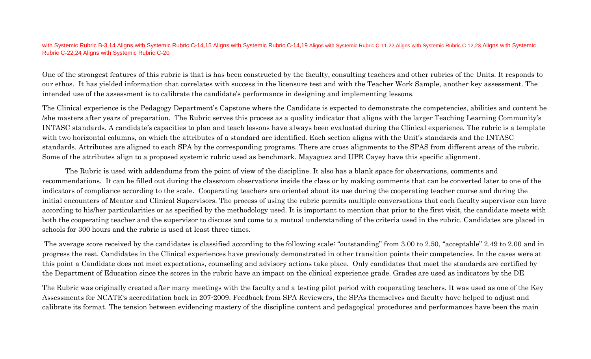#### with Systemic Rubric B-3,14 Aligns with Systemic Rubric C-14,15 Aligns with Systemic Rubric C-14,19 Aligns with Systemic Rubric C-11,22 Aligns with Systemic Rubric C-12,23 Aligns with Systemic Rubric C-22,24 Aligns with Systemic Rubric C-20

One of the strongest features of this rubric is that is has been constructed by the faculty, consulting teachers and other rubrics of the Units. It responds to our ethos. It has yielded information that correlates with success in the licensure test and with the Teacher Work Sample, another key assessment. The intended use of the assessment is to calibrate the candidate's performance in designing and implementing lessons.

The Clinical experience is the Pedagogy Department's Capstone where the Candidate is expected to demonstrate the competencies, abilities and content he /she masters after years of preparation. The Rubric serves this process as a quality indicator that aligns with the larger Teaching Learning Community's INTASC standards. A candidate's capacities to plan and teach lessons have always been evaluated during the Clinical experience. The rubric is a template with two horizontal columns, on which the attributes of a standard are identified. Each section aligns with the Unit's standards and the INTASC standards. Attributes are aligned to each SPA by the corresponding programs. There are cross alignments to the SPAS from different areas of the rubric. Some of the attributes align to a proposed systemic rubric used as benchmark. Mayaguez and UPR Cayey have this specific alignment.

The Rubric is used with addendums from the point of view of the discipline. It also has a blank space for observations, comments and recommendations. It can be filled out during the classroom observations inside the class or by making comments that can be converted later to one of the indicators of compliance according to the scale. Cooperating teachers are oriented about its use during the cooperating teacher course and during the initial encounters of Mentor and Clinical Supervisors. The process of using the rubric permits multiple conversations that each faculty supervisor can have according to his/her particularities or as specified by the methodology used. It is important to mention that prior to the first visit, the candidate meets with both the cooperating teacher and the supervisor to discuss and come to a mutual understanding of the criteria used in the rubric. Candidates are placed in schools for 300 hours and the rubric is used at least three times.

The average score received by the candidates is classified according to the following scale: "outstanding" from 3.00 to 2.50, "acceptable" 2.49 to 2.00 and in progress the rest. Candidates in the Clinical experiences have previously demonstrated in other transition points their competencies. In the cases were at this point a Candidate does not meet expectations, counseling and advisory actions take place. Only candidates that meet the standards are certified by the Department of Education since the scores in the rubric have an impact on the clinical experience grade. Grades are used as indicators by the DE

The Rubric was originally created after many meetings with the faculty and a testing pilot period with cooperating teachers. It was used as one of the Key Assessments for NCATE's accreditation back in 207-2009. Feedback from SPA Reviewers, the SPAs themselves and faculty have helped to adjust and calibrate its format. The tension between evidencing mastery of the discipline content and pedagogical procedures and performances have been the main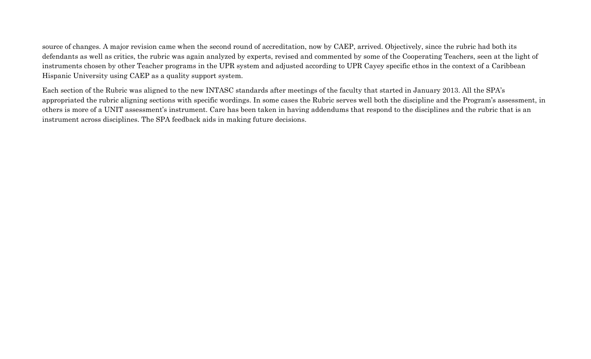source of changes. A major revision came when the second round of accreditation, now by CAEP, arrived. Objectively, since the rubric had both its defendants as well as critics, the rubric was again analyzed by experts, revised and commented by some of the Cooperating Teachers, seen at the light of instruments chosen by other Teacher programs in the UPR system and adjusted according to UPR Cayey specific ethos in the context of a Caribbean Hispanic University using CAEP as a quality support system.

Each section of the Rubric was aligned to the new INTASC standards after meetings of the faculty that started in January 2013. All the SPA's appropriated the rubric aligning sections with specific wordings. In some cases the Rubric serves well both the discipline and the Program's assessment, in others is more of a UNIT assessment's instrument. Care has been taken in having addendums that respond to the disciplines and the rubric that is an instrument across disciplines. The SPA feedback aids in making future decisions.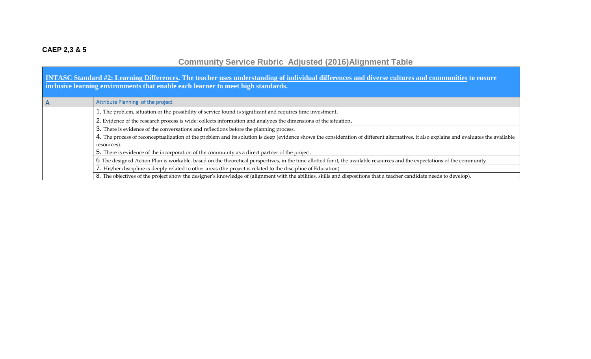# **Community Service Rubric Adjusted (2016)Alignment Table**

|     | INTASC Standard #2: Learning Differences. The teacher uses understanding of individual differences and diverse cultures and communities to ensure<br>inclusive learning environments that enable each learner to meet high standards. |  |  |  |  |  |  |  |
|-----|---------------------------------------------------------------------------------------------------------------------------------------------------------------------------------------------------------------------------------------|--|--|--|--|--|--|--|
| l A | Attribute Planning of the project                                                                                                                                                                                                     |  |  |  |  |  |  |  |
|     | $l$ . The problem, situation or the possibility of service found is significant and requires time investment.                                                                                                                         |  |  |  |  |  |  |  |
|     | 2. Evidence of the research process is wide: collects information and analyzes the dimensions of the situation.                                                                                                                       |  |  |  |  |  |  |  |
|     | 3. There is evidence of the conversations and reflections before the planning process.                                                                                                                                                |  |  |  |  |  |  |  |
|     | 4. The process of reconceptualization of the problem and its solution is deep (evidence shows the consideration of different alternatives, it also explains and evaluates the available                                               |  |  |  |  |  |  |  |
|     | resources).                                                                                                                                                                                                                           |  |  |  |  |  |  |  |
|     | 5. There is evidence of the incorporation of the community as a direct partner of the project.                                                                                                                                        |  |  |  |  |  |  |  |
|     | 6. The designed Action Plan is workable, based on the theoretical perspectives, in the time allotted for it, the available resources and the expectations of the community.                                                           |  |  |  |  |  |  |  |
|     | 7. His/her discipline is deeply related to other areas (the project is related to the discipline of Education).                                                                                                                       |  |  |  |  |  |  |  |
|     | 8. The objectives of the project show the designer's knowledge of (alignment with the abilities, skills and dispositions that a teacher candidate needs to develop).                                                                  |  |  |  |  |  |  |  |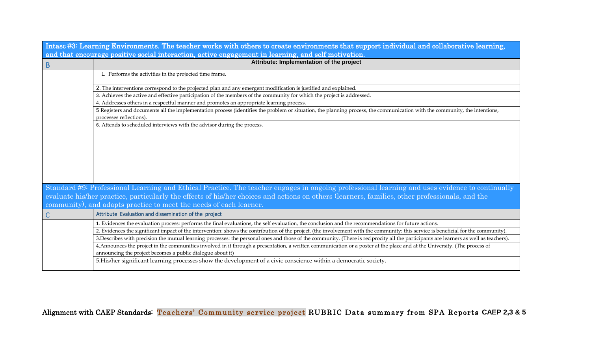| Intasc #3: Learning Environments. The teacher works with others to create environments that support individual and collaborative learning, |                                                                                                                                                                                        |  |  |  |  |  |  |  |  |
|--------------------------------------------------------------------------------------------------------------------------------------------|----------------------------------------------------------------------------------------------------------------------------------------------------------------------------------------|--|--|--|--|--|--|--|--|
|                                                                                                                                            | and that encourage positive social interaction, active engagement in learning, and self motivation.                                                                                    |  |  |  |  |  |  |  |  |
| $\mathsf B$                                                                                                                                | Attribute: Implementation of the project                                                                                                                                               |  |  |  |  |  |  |  |  |
|                                                                                                                                            | 1. Performs the activities in the projected time frame.                                                                                                                                |  |  |  |  |  |  |  |  |
|                                                                                                                                            |                                                                                                                                                                                        |  |  |  |  |  |  |  |  |
|                                                                                                                                            | 2. The interventions correspond to the projected plan and any emergent modification is justified and explained.                                                                        |  |  |  |  |  |  |  |  |
|                                                                                                                                            | 3. Achieves the active and effective participation of the members of the community for which the project is addressed.                                                                 |  |  |  |  |  |  |  |  |
|                                                                                                                                            | 4. Addresses others in a respectful manner and promotes an appropriate learning process.                                                                                               |  |  |  |  |  |  |  |  |
|                                                                                                                                            | 5 Registers and documents all the implementation process (identifies the problem or situation, the planning process, the communication with the community, the intentions,             |  |  |  |  |  |  |  |  |
|                                                                                                                                            | processes reflections).                                                                                                                                                                |  |  |  |  |  |  |  |  |
|                                                                                                                                            | 6. Attends to scheduled interviews with the advisor during the process.                                                                                                                |  |  |  |  |  |  |  |  |
|                                                                                                                                            |                                                                                                                                                                                        |  |  |  |  |  |  |  |  |
|                                                                                                                                            |                                                                                                                                                                                        |  |  |  |  |  |  |  |  |
|                                                                                                                                            |                                                                                                                                                                                        |  |  |  |  |  |  |  |  |
|                                                                                                                                            |                                                                                                                                                                                        |  |  |  |  |  |  |  |  |
|                                                                                                                                            |                                                                                                                                                                                        |  |  |  |  |  |  |  |  |
|                                                                                                                                            |                                                                                                                                                                                        |  |  |  |  |  |  |  |  |
|                                                                                                                                            |                                                                                                                                                                                        |  |  |  |  |  |  |  |  |
|                                                                                                                                            | Standard #9: Professional Learning and Ethical Practice. The teacher engages in ongoing professional learning and uses evidence to continually                                         |  |  |  |  |  |  |  |  |
|                                                                                                                                            |                                                                                                                                                                                        |  |  |  |  |  |  |  |  |
|                                                                                                                                            | evaluate his/her practice, particularly the effects of his/her choices and actions on others (learners, families, other professionals, and the                                         |  |  |  |  |  |  |  |  |
|                                                                                                                                            | community), and adapts practice to meet the needs of each learner.                                                                                                                     |  |  |  |  |  |  |  |  |
| $\mathsf{C}$                                                                                                                               | Attribute Evaluation and dissemination of the project                                                                                                                                  |  |  |  |  |  |  |  |  |
|                                                                                                                                            | 1. Evidences the evaluation process: performs the final evaluations, the self evaluation, the conclusion and the recommendations for future actions.                                   |  |  |  |  |  |  |  |  |
|                                                                                                                                            | 2. Evidences the significant impact of the intervention: shows the contribution of the project. (the involvement with the community: this service is beneficial for the community).    |  |  |  |  |  |  |  |  |
|                                                                                                                                            | 3. Describes with precision the mutual learning processes: the personal ones and those of the community. (There is reciprocity all the participants are learners as well as teachers). |  |  |  |  |  |  |  |  |
|                                                                                                                                            | 4. Announces the project in the communities involved in it through a presentation, a written communication or a poster at the place and at the University. (The process of             |  |  |  |  |  |  |  |  |
|                                                                                                                                            | announcing the project becomes a public dialogue about it)                                                                                                                             |  |  |  |  |  |  |  |  |
|                                                                                                                                            | 5. His/her significant learning processes show the development of a civic conscience within a democratic society.                                                                      |  |  |  |  |  |  |  |  |
|                                                                                                                                            |                                                                                                                                                                                        |  |  |  |  |  |  |  |  |

Alignment with CAEP Standards: Teachers' Community service project RUBRIC Data summary from SPA Reports **CAEP 2,3 & 5**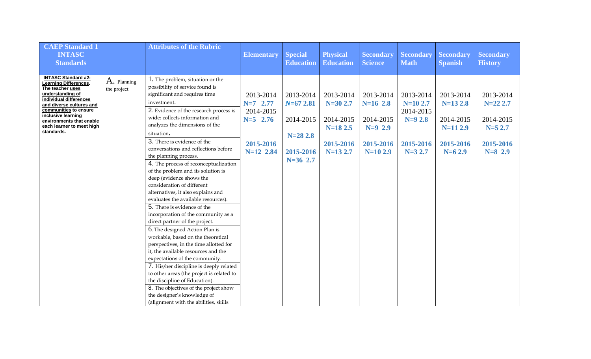| <b>CAEP Standard 1</b><br><b>INTASC</b><br><b>Standards</b>                                                                                                                                                                                                             |                              | <b>Attributes of the Rubric</b>                                                                                                                                                                                                                                                                                                                                                                                                                                                                                                                                                                                                                                                                                                                                                                                                                                                                                                                                                                                                                                                                                    | <b>Elementary</b>                                                              | <b>Special</b><br><b>Education</b>                                           | <b>Physical</b><br><b>Education</b>                                          | <b>Secondary</b><br><b>Science</b>                                          | <b>Secondary</b><br><b>Math</b>                                          | <b>Secondary</b><br><b>Spanish</b>                                        | <b>Secondary</b><br><b>History</b>                                        |
|-------------------------------------------------------------------------------------------------------------------------------------------------------------------------------------------------------------------------------------------------------------------------|------------------------------|--------------------------------------------------------------------------------------------------------------------------------------------------------------------------------------------------------------------------------------------------------------------------------------------------------------------------------------------------------------------------------------------------------------------------------------------------------------------------------------------------------------------------------------------------------------------------------------------------------------------------------------------------------------------------------------------------------------------------------------------------------------------------------------------------------------------------------------------------------------------------------------------------------------------------------------------------------------------------------------------------------------------------------------------------------------------------------------------------------------------|--------------------------------------------------------------------------------|------------------------------------------------------------------------------|------------------------------------------------------------------------------|-----------------------------------------------------------------------------|--------------------------------------------------------------------------|---------------------------------------------------------------------------|---------------------------------------------------------------------------|
| <b>INTASC Standard #2:</b><br>Learning Differences.<br>The teacher uses<br>understanding of<br>individual differences<br>and diverse cultures and<br>communities to ensure<br>inclusive learning<br>environments that enable<br>each learner to meet high<br>standards. | $A.$ Planning<br>the project | 1. The problem, situation or the<br>possibility of service found is<br>significant and requires time<br>investment.<br>2. Evidence of the research process is<br>wide: collects information and<br>analyzes the dimensions of the<br>situation.<br>3. There is evidence of the<br>conversations and reflections before<br>the planning process.<br>4. The process of reconceptualization<br>of the problem and its solution is<br>deep (evidence shows the<br>consideration of different<br>alternatives, it also explains and<br>evaluates the available resources).<br>5. There is evidence of the<br>incorporation of the community as a<br>direct partner of the project.<br>6. The designed Action Plan is<br>workable, based on the theoretical<br>perspectives, in the time allotted for<br>it, the available resources and the<br>expectations of the community.<br>7. His/her discipline is deeply related<br>to other areas (the project is related to<br>the discipline of Education).<br>8. The objectives of the project show<br>the designer's knowledge of<br>(alignment with the abilities, skills | 2013-2014<br>$N=7$ 2.77<br>2014-2015<br>$N=5$ 2.76<br>2015-2016<br>$N=12$ 2.84 | 2013-2014<br>$N=672.81$<br>2014-2015<br>$N=282.8$<br>2015-2016<br>$N=36$ 2.7 | 2013-2014<br>$N = 302.7$<br>2014-2015<br>$N=182.5$<br>2015-2016<br>$N=132.7$ | 2013-2014<br>$N=16$ 2.8<br>2014-2015<br>$N=9$ 2.9<br>2015-2016<br>$N=102.9$ | 2013-2014<br>$N=102.7$<br>2014-2015<br>$N=92.8$<br>2015-2016<br>$N=32.7$ | 2013-2014<br>$N=132.8$<br>2014-2015<br>$N=112.9$<br>2015-2016<br>$N=62.9$ | 2013-2014<br>$N=222.7$<br>2014-2015<br>$N=52.7$<br>2015-2016<br>$N=8$ 2.9 |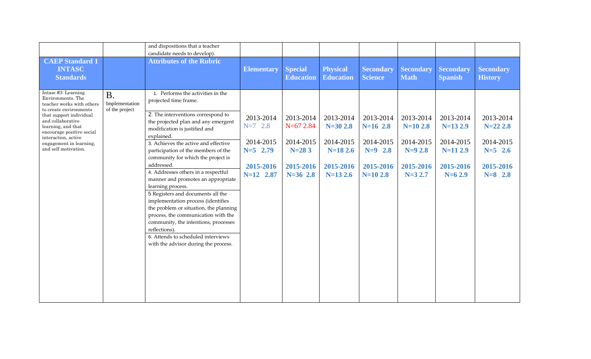|                                                                                                                                                                                                                                                                              |                                               | and dispositions that a teacher<br>candidate needs to develop).                                                                                                                                                                                                                                                                                                                                                                                                                                                                                                                                                                                                                                                                |                                                                               |                                                                             |                                                                              |                                                                             |                                                                          |                                                                           |                                                                            |
|------------------------------------------------------------------------------------------------------------------------------------------------------------------------------------------------------------------------------------------------------------------------------|-----------------------------------------------|--------------------------------------------------------------------------------------------------------------------------------------------------------------------------------------------------------------------------------------------------------------------------------------------------------------------------------------------------------------------------------------------------------------------------------------------------------------------------------------------------------------------------------------------------------------------------------------------------------------------------------------------------------------------------------------------------------------------------------|-------------------------------------------------------------------------------|-----------------------------------------------------------------------------|------------------------------------------------------------------------------|-----------------------------------------------------------------------------|--------------------------------------------------------------------------|---------------------------------------------------------------------------|----------------------------------------------------------------------------|
| <b>CAEP Standard 1</b><br><b>INTASC</b><br><b>Standards</b>                                                                                                                                                                                                                  |                                               | <b>Attributes of the Rubric</b>                                                                                                                                                                                                                                                                                                                                                                                                                                                                                                                                                                                                                                                                                                | <b>Elementary</b>                                                             | <b>Special</b><br><b>Education</b>                                          | <b>Physical</b><br><b>Education</b>                                          | <b>Secondary</b><br><b>Science</b>                                          | <b>Secondary</b><br><b>Math</b>                                          | <b>Secondary</b><br><b>Spanish</b>                                        | <b>Secondary</b><br><b>History</b>                                         |
| Intasc #3: Learning<br>Environments. The<br>teacher works with others<br>to create environments<br>that support individual<br>and collaborative<br>learning, and that<br>encourage positive social<br>interaction, active<br>engagement in learning.<br>and self motivation. | <b>B.</b><br>Implementation<br>of the project | 1. Performs the activities in the<br>projected time frame.<br>2. The interventions correspond to<br>the projected plan and any emergent<br>modification is justified and<br>explained.<br>3. Achieves the active and effective<br>participation of the members of the<br>community for which the project is<br>addressed.<br>4. Addresses others in a respectful<br>manner and promotes an appropriate<br>learning process.<br>5 Registers and documents all the<br>implementation process (identifies<br>the problem or situation, the planning<br>process, the communication with the<br>community, the intentions, processes<br>reflections).<br>6. Attends to scheduled interviews<br>with the advisor during the process. | 2013-2014<br>$N=7$ 2.8<br>2014-2015<br>$N=5$ 2.79<br>2015-2016<br>$N=12$ 2.87 | 2013-2014<br>$N=67$ 2.84<br>2014-2015<br>$N=283$<br>2015-2016<br>$N=36$ 2.8 | 2013-2014<br>$N = 302.8$<br>2014-2015<br>$N=182.6$<br>2015-2016<br>$N=132.6$ | 2013-2014<br>$N=16$ 2.8<br>2014-2015<br>$N=9$ 2.8<br>2015-2016<br>$N=102.8$ | 2013-2014<br>$N=102.8$<br>2014-2015<br>$N=92.8$<br>2015-2016<br>$N=32.7$ | 2013-2014<br>$N=132.9$<br>2014-2015<br>$N=112.9$<br>2015-2016<br>$N=62.9$ | 2013-2014<br>$N=222.8$<br>2014-2015<br>$N=5$ 2.6<br>2015-2016<br>$N=8$ 2.8 |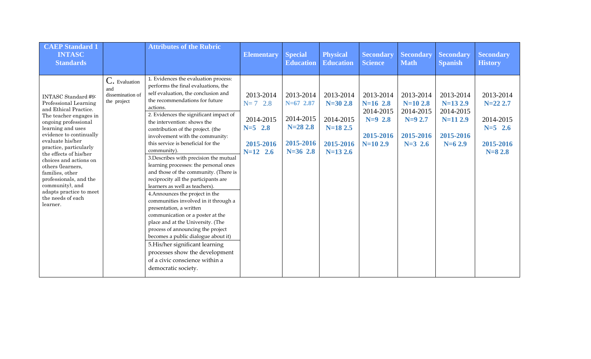| <b>CAEP Standard 1</b><br><b>INTASC</b><br><b>Standards</b>                                                                                                                                                                                                                                                                                                                                                                |                                                           | <b>Attributes of the Rubric</b>                                                                                                                                                                                                                                                                                                                                                                                                                                                                                                                                                                                                                                                                                                                                                                                                                                                                                                                                       | <b>Elementary</b>                                                           | <b>Special</b><br><b>Education</b>                                            | <b>Physical</b><br><b>Education</b>                                          | <b>Secondary</b><br><b>Science</b>                                          | <b>Secondary</b><br><b>Math</b>                                           | <b>Secondary</b><br><b>Spanish</b>                                        | <b>Secondary</b><br><b>History</b>                                          |
|----------------------------------------------------------------------------------------------------------------------------------------------------------------------------------------------------------------------------------------------------------------------------------------------------------------------------------------------------------------------------------------------------------------------------|-----------------------------------------------------------|-----------------------------------------------------------------------------------------------------------------------------------------------------------------------------------------------------------------------------------------------------------------------------------------------------------------------------------------------------------------------------------------------------------------------------------------------------------------------------------------------------------------------------------------------------------------------------------------------------------------------------------------------------------------------------------------------------------------------------------------------------------------------------------------------------------------------------------------------------------------------------------------------------------------------------------------------------------------------|-----------------------------------------------------------------------------|-------------------------------------------------------------------------------|------------------------------------------------------------------------------|-----------------------------------------------------------------------------|---------------------------------------------------------------------------|---------------------------------------------------------------------------|-----------------------------------------------------------------------------|
| INTASC Standard #9:<br>Professional Learning<br>and Ethical Practice.<br>The teacher engages in<br>ongoing professional<br>learning and uses<br>evidence to continually<br>evaluate his/her<br>practice, particularly<br>the effects of his/her<br>choices and actions on<br>others (learners,<br>families, other<br>professionals, and the<br>community), and<br>adapts practice to meet<br>the needs of each<br>learner. | $C.$ Evaluation<br>and<br>dissemination of<br>the project | 1. Evidences the evaluation process:<br>performs the final evaluations, the<br>self evaluation, the conclusion and<br>the recommendations for future<br>actions.<br>2. Evidences the significant impact of<br>the intervention: shows the<br>contribution of the project. (the<br>involvement with the community:<br>this service is beneficial for the<br>community).<br>3. Describes with precision the mutual<br>learning processes: the personal ones<br>and those of the community. (There is<br>reciprocity all the participants are<br>learners as well as teachers).<br>4. Announces the project in the<br>communities involved in it through a<br>presentation, a written<br>communication or a poster at the<br>place and at the University. (The<br>process of announcing the project<br>becomes a public dialogue about it)<br>5. His/her significant learning<br>processes show the development<br>of a civic conscience within a<br>democratic society. | 2013-2014<br>$N=7$ 2.8<br>2014-2015<br>$N=5$ 2.8<br>2015-2016<br>$N=12$ 2.6 | 2013-2014<br>$N=67$ 2.87<br>2014-2015<br>$N=282.8$<br>2015-2016<br>$N=36$ 2.8 | 2013-2014<br>$N = 302.8$<br>2014-2015<br>$N=182.5$<br>2015-2016<br>$N=132.6$ | 2013-2014<br>$N=16$ 2.8<br>2014-2015<br>$N=9$ 2.8<br>2015-2016<br>$N=102.9$ | 2013-2014<br>$N=102.8$<br>2014-2015<br>$N=92.7$<br>2015-2016<br>$N=3$ 2.6 | 2013-2014<br>$N=132.9$<br>2014-2015<br>$N=112.9$<br>2015-2016<br>$N=62.9$ | 2013-2014<br>$N=222.7$<br>2014-2015<br>$N=5$ 2.6<br>2015-2016<br>$N = 82.8$ |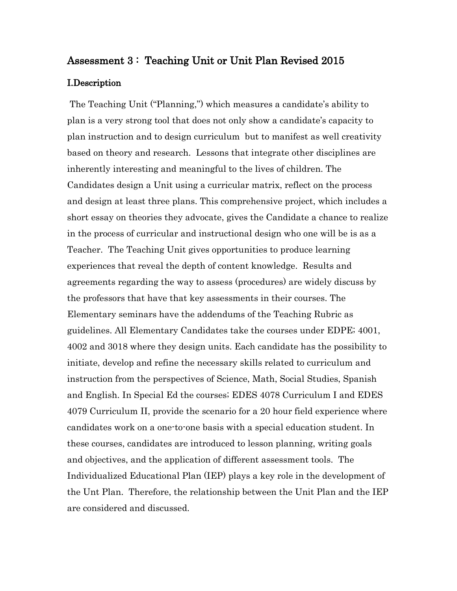### Assessment 3 : Teaching Unit or Unit Plan Revised 2015

#### I.Description

The Teaching Unit ("Planning,") which measures a candidate's ability to plan is a very strong tool that does not only show a candidate's capacity to plan instruction and to design curriculum but to manifest as well creativity based on theory and research. Lessons that integrate other disciplines are inherently interesting and meaningful to the lives of children. The Candidates design a Unit using a curricular matrix, reflect on the process and design at least three plans. This comprehensive project, which includes a short essay on theories they advocate, gives the Candidate a chance to realize in the process of curricular and instructional design who one will be is as a Teacher. The Teaching Unit gives opportunities to produce learning experiences that reveal the depth of content knowledge. Results and agreements regarding the way to assess (procedures) are widely discuss by the professors that have that key assessments in their courses. The Elementary seminars have the addendums of the Teaching Rubric as guidelines. All Elementary Candidates take the courses under EDPE; 4001, 4002 and 3018 where they design units. Each candidate has the possibility to initiate, develop and refine the necessary skills related to curriculum and instruction from the perspectives of Science, Math, Social Studies, Spanish and English. In Special Ed the courses; EDES 4078 Curriculum I and EDES 4079 Curriculum II, provide the scenario for a 20 hour field experience where candidates work on a one-to-one basis with a special education student. In these courses, candidates are introduced to lesson planning, writing goals and objectives, and the application of different assessment tools. The Individualized Educational Plan (IEP) plays a key role in the development of the Unt Plan. Therefore, the relationship between the Unit Plan and the IEP are considered and discussed.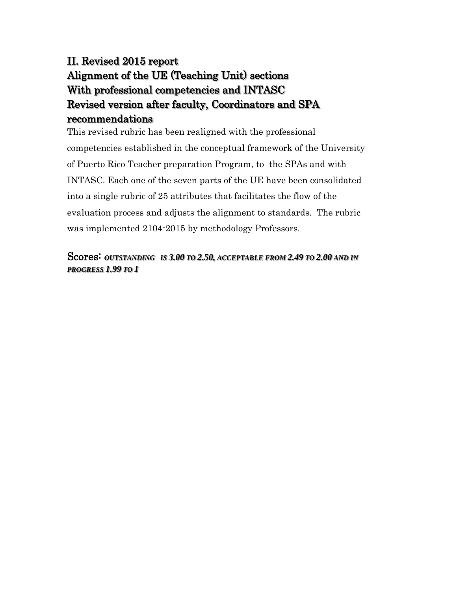## II. Revised 2015 report Alignment of the UE (Teaching Unit) sections With professional competencies and INTASC Revised version after faculty, Coordinators and SPA recommendations

This revised rubric has been realigned with the professional competencies established in the conceptual framework of the University of Puerto Rico Teacher preparation Program, to the SPAs and with INTASC. Each one of the seven parts of the UE have been consolidated into a single rubric of 25 attributes that facilitates the flow of the evaluation process and adjusts the alignment to standards. The rubric was implemented 2104-2015 by methodology Professors.

### Scores: *OUTSTANDING IS 3.00 TO 2.50, ACCEPTABLE FROM 2.49 TO 2.00 AND IN PROGRESS 1.99 TO 1*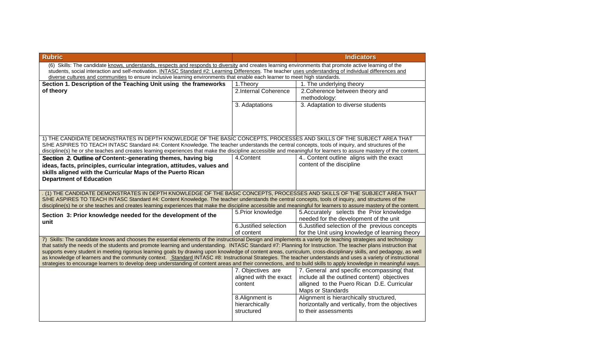| <b>Rubric</b>                                                                                                                                                      |                              | <b>Indicators</b>                                                                          |  |  |
|--------------------------------------------------------------------------------------------------------------------------------------------------------------------|------------------------------|--------------------------------------------------------------------------------------------|--|--|
| (6) Skills: The candidate knows, understands, respects and responds to diversity and creates learning environments that promote active learning of the             |                              |                                                                                            |  |  |
| students, social interaction and self-motivation. INTASC Standard #2: Learning Differences. The teacher uses understanding of individual differences and           |                              |                                                                                            |  |  |
| diverse cultures and communities to ensure inclusive learning environments that enable each learner to meet high standards.                                        |                              |                                                                                            |  |  |
| Section 1. Description of the Teaching Unit using the frameworks                                                                                                   | 1. Theory                    | 1. The underlying theory                                                                   |  |  |
| of theory                                                                                                                                                          | 2.Internal Coherence         | 2. Coherence between theory and                                                            |  |  |
|                                                                                                                                                                    |                              | methodology:                                                                               |  |  |
|                                                                                                                                                                    | 3. Adaptations               | 3. Adaptation to diverse students                                                          |  |  |
|                                                                                                                                                                    |                              |                                                                                            |  |  |
|                                                                                                                                                                    |                              |                                                                                            |  |  |
|                                                                                                                                                                    |                              |                                                                                            |  |  |
| 1) THE CANDIDATE DEMONSTRATES IN DEPTH KNOWLEDGE OF THE BASIC CONCEPTS, PROCESSES AND SKILLS OF THE SUBJECT AREA THAT                                              |                              |                                                                                            |  |  |
| S/HE ASPIRES TO TEACH INTASC Standard #4: Content Knowledge. The teacher understands the central concepts, tools of inquiry, and structures of the                 |                              |                                                                                            |  |  |
| discipline(s) he or she teaches and creates learning experiences that make the discipline accessible and meaningful for learners to assure mastery of the content. |                              |                                                                                            |  |  |
| Section 2. Outline of Content:-generating themes, having big                                                                                                       | 4.Content                    | 4. Content outline aligns with the exact                                                   |  |  |
| ideas, facts, principles, curricular integration, attitudes, values and                                                                                            |                              | content of the discipline                                                                  |  |  |
| skills aligned with the Curricular Maps of the Puerto Rican                                                                                                        |                              |                                                                                            |  |  |
| <b>Department of Education</b>                                                                                                                                     |                              |                                                                                            |  |  |
|                                                                                                                                                                    |                              |                                                                                            |  |  |
| . (1) THE CANDIDATE DEMONSTRATES IN DEPTH KNOWLEDGE OF THE BASIC CONCEPTS, PROCESSES AND SKILLS OF THE SUBJECT AREA THAT                                           |                              |                                                                                            |  |  |
| S/HE ASPIRES TO TEACH INTASC Standard #4: Content Knowledge. The teacher understands the central concepts, tools of inquiry, and structures of the                 |                              |                                                                                            |  |  |
| discipline(s) he or she teaches and creates learning experiences that make the discipline accessible and meaningful for learners to assure mastery of the content. |                              |                                                                                            |  |  |
|                                                                                                                                                                    | 5. Prior knowledge           | 5. Accurately selects the Prior knowledge                                                  |  |  |
| Section 3: Prior knowledge needed for the development of the                                                                                                       |                              | needed for the development of the unit                                                     |  |  |
| unit                                                                                                                                                               | 6.Justified selection        | 6. Justified selection of the previous concepts                                            |  |  |
|                                                                                                                                                                    | of content                   | for the Unit using knowledge of learning theory                                            |  |  |
| 7) Skills: The candidate knows and chooses the essential elements of the instructional Design and implements a variety de teaching strategies and technology       |                              |                                                                                            |  |  |
| that satisfy the needs of the students and promote learning and understanding. INTASC Standard #7: Planning for Instruction. The teacher plans instruction that    |                              |                                                                                            |  |  |
| supports every student in meeting rigorous learning goals by drawing upon knowledge of content areas, curriculum, cross-disciplinary skills, and pedagogy, as well |                              |                                                                                            |  |  |
| as knowledge of learners and the community context. Standard INTASC #8: Instructional Strategies. The teacher understands and uses a variety of instructional      |                              |                                                                                            |  |  |
| strategies to encourage learners to develop deep understanding of content areas and their connections, and to build skills to apply knowledge in meaningful ways.  | 7. Objectives are            |                                                                                            |  |  |
|                                                                                                                                                                    | aligned with the exact       | 7. General and specific encompassing (that<br>include all the outlined content) objectives |  |  |
|                                                                                                                                                                    | content                      | alligned to the Puero Rican D.E. Curricular                                                |  |  |
|                                                                                                                                                                    |                              | Maps or Standards                                                                          |  |  |
|                                                                                                                                                                    | 8.Alignment is               | Alignment is hierarchically structured,                                                    |  |  |
|                                                                                                                                                                    |                              | horizontally and vertically, from the objectives                                           |  |  |
|                                                                                                                                                                    | hierarchically<br>structured | to their assessments                                                                       |  |  |
|                                                                                                                                                                    |                              |                                                                                            |  |  |
|                                                                                                                                                                    |                              |                                                                                            |  |  |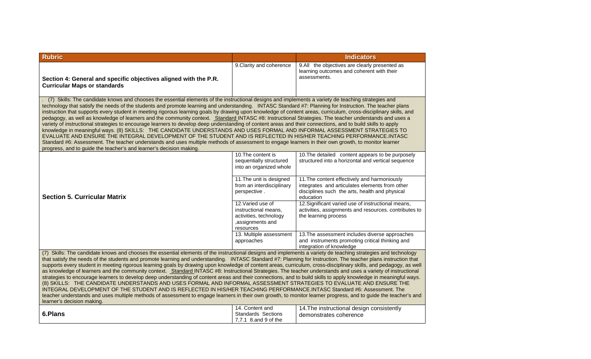| <b>Rubric</b>                                                                                                                                                                                                                                                                                                                                                                                                                                                                                                                                                                                                                                                                                                                                                                                                                                                                                                                                                                                                                                                                                                                                                                                                                                                                                     |                                                                                                      | <b>Indicators</b>                                                                                                                                             |
|---------------------------------------------------------------------------------------------------------------------------------------------------------------------------------------------------------------------------------------------------------------------------------------------------------------------------------------------------------------------------------------------------------------------------------------------------------------------------------------------------------------------------------------------------------------------------------------------------------------------------------------------------------------------------------------------------------------------------------------------------------------------------------------------------------------------------------------------------------------------------------------------------------------------------------------------------------------------------------------------------------------------------------------------------------------------------------------------------------------------------------------------------------------------------------------------------------------------------------------------------------------------------------------------------|------------------------------------------------------------------------------------------------------|---------------------------------------------------------------------------------------------------------------------------------------------------------------|
| Section 4: General and specific objectives aligned with the P.R.<br><b>Curricular Maps or standards</b>                                                                                                                                                                                                                                                                                                                                                                                                                                                                                                                                                                                                                                                                                                                                                                                                                                                                                                                                                                                                                                                                                                                                                                                           | 9. Clarity and coherence                                                                             | 9.All the objectives are clearly presented as<br>learning outcomes and coherent with their<br>assessments.                                                    |
| (7) Skills: The candidate knows and chooses the essential elements of the instructional designs and implements a variety de teaching strategies and<br>technology that satisfy the needs of the students and promote learning and understanding. INTASC Standard #7: Planning for Instruction. The teacher plans<br>instruction that supports every student in meeting rigorous learning goals by drawing upon knowledge of content areas, curriculum, cross-disciplinary skills, and<br>pedagogy, as well as knowledge of learners and the community context. Standard INTASC #8: Instructional Strategies. The teacher understands and uses a<br>variety of instructional strategies to encourage learners to develop deep understanding of content areas and their connections, and to build skills to apply<br>knowledge in meaningful ways. (8) SKILLS: THE CANDIDATE UNDERSTANDS AND USES FORMAL AND INFORMAL ASSESSMENT STRATEGIES TO<br>EVALUATE AND ENSURE THE INTEGRAL DEVELOPMENT OF THE STUDENT AND IS REFLECTED IN HIS/HER TEACHING PERFORMANCE.INTASC<br>Standard #6: Assessment. The teacher understands and uses multiple methods of assessment to engage learners in their own growth, to monitor learner<br>progress, and to guide the teacher's and learner's decision making. |                                                                                                      |                                                                                                                                                               |
|                                                                                                                                                                                                                                                                                                                                                                                                                                                                                                                                                                                                                                                                                                                                                                                                                                                                                                                                                                                                                                                                                                                                                                                                                                                                                                   | 10. The content is                                                                                   | 10. The detailed content appears to be purposely                                                                                                              |
|                                                                                                                                                                                                                                                                                                                                                                                                                                                                                                                                                                                                                                                                                                                                                                                                                                                                                                                                                                                                                                                                                                                                                                                                                                                                                                   | sequentially structured<br>into an organized whole                                                   | structured into a horizontal and vertical sequence                                                                                                            |
| <b>Section 5. Curricular Matrix</b>                                                                                                                                                                                                                                                                                                                                                                                                                                                                                                                                                                                                                                                                                                                                                                                                                                                                                                                                                                                                                                                                                                                                                                                                                                                               | 11. The unit is designed<br>from an interdisciplinary<br>perspective.                                | 11. The content effectively and harmoniously<br>integrates and articulates elements from other<br>disciplines such the arts, health and physical<br>education |
|                                                                                                                                                                                                                                                                                                                                                                                                                                                                                                                                                                                                                                                                                                                                                                                                                                                                                                                                                                                                                                                                                                                                                                                                                                                                                                   | 12. Varied use of<br>instructional means,<br>activities, technology<br>,assignments and<br>resources | 12. Significant varied use of instructional means,<br>activities, assignments and resources. contributes to<br>the learning process                           |
|                                                                                                                                                                                                                                                                                                                                                                                                                                                                                                                                                                                                                                                                                                                                                                                                                                                                                                                                                                                                                                                                                                                                                                                                                                                                                                   | 13. Multiple assessment<br>approaches                                                                | 13. The assessment includes diverse approaches<br>and instruments promoting critical thinking and<br>integration of knowledge                                 |
| (7) Skills: The candidate knows and chooses the essential elements of the instructional designs and implements a variety de teaching strategies and technology<br>that satisfy the needs of the students and promote learning and understanding. INTASC Standard #7: Planning for Instruction. The teacher plans instruction that<br>supports every student in meeting rigorous learning goals by drawing upon knowledge of content areas, curriculum, cross-disciplinary skills, and pedagogy, as well<br>as knowledge of learners and the community context. Standard INTASC #8: Instructional Strategies. The teacher understands and uses a variety of instructional<br>strategies to encourage learners to develop deep understanding of content areas and their connections, and to build skills to apply knowledge in meaningful ways.<br>(8) SKILLS: THE CANDIDATE UNDERSTANDS AND USES FORMAL AND INFORMAL ASSESSMENT STRATEGIES TO EVALUATE AND ENSURE THE<br>INTEGRAL DEVELOPMENT OF THE STUDENT AND IS REFLECTED IN HIS/HER TEACHING PERFORMANCE.INTASC Standard #6: Assessment. The<br>teacher understands and uses multiple methods of assessment to engage learners in their own growth, to monitor learner progress, and to guide the teacher's and<br>learner's decision making. |                                                                                                      |                                                                                                                                                               |
| 6.Plans                                                                                                                                                                                                                                                                                                                                                                                                                                                                                                                                                                                                                                                                                                                                                                                                                                                                                                                                                                                                                                                                                                                                                                                                                                                                                           | 14. Content and<br><b>Standards Sections</b><br>7.7.1 8.and 9 of the                                 | 14. The instructional design consistently<br>demonstrates coherence                                                                                           |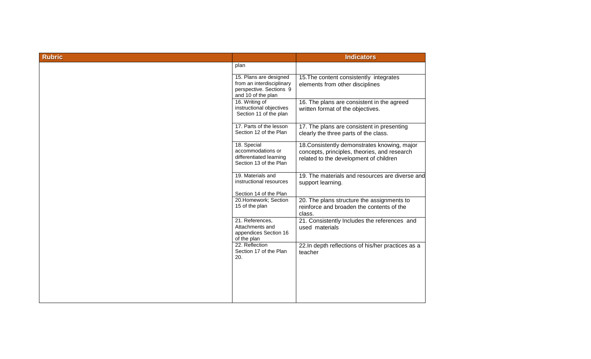| <b>Rubric</b> |                                                                                                      | <b>Indicators</b>                                                                                                                      |
|---------------|------------------------------------------------------------------------------------------------------|----------------------------------------------------------------------------------------------------------------------------------------|
|               | plan                                                                                                 |                                                                                                                                        |
|               | 15. Plans are designed<br>from an interdisciplinary<br>perspective. Sections 9<br>and 10 of the plan | 15. The content consistently integrates<br>elements from other disciplines                                                             |
|               | 16. Writing of<br>instructional objectives<br>Section 11 of the plan                                 | 16. The plans are consistent in the agreed<br>written format of the objectives.                                                        |
|               | 17. Parts of the lesson<br>Section 12 of the Plan                                                    | 17. The plans are consistent in presenting<br>clearly the three parts of the class.                                                    |
|               | 18. Special<br>accommodations or<br>differentiated learning<br>Section 13 of the Plan                | 18. Consistently demonstrates knowing, major<br>concepts, principles, theories, and research<br>related to the development of children |
|               | 19. Materials and<br>instructional resources<br>Section 14 of the Plan                               | 19. The materials and resources are diverse and<br>support learning.                                                                   |
|               | 20.Homework; Section<br>15 of the plan                                                               | 20. The plans structure the assignments to<br>reinforce and broaden the contents of the<br>class.                                      |
|               | 21. References,<br>Attachments and<br>appendices Section 16<br>of the plan                           | 21. Consistently Includes the references and<br>used materials                                                                         |
|               | 22. Reflection<br>Section 17 of the Plan<br>20.                                                      | 22. In depth reflections of his/her practices as a<br>teacher                                                                          |
|               |                                                                                                      |                                                                                                                                        |
|               |                                                                                                      |                                                                                                                                        |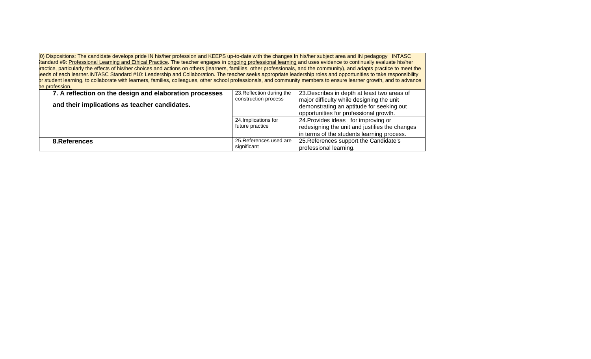0) Dispositions: The candidate develops pride IN his/her profession and KEEPS up-to-date with the changes In his/her subject area and IN pedagogy INTASC Standard #9: Professional Learning and Ethical Practice. The teacher engages in ongoing professional learning and uses evidence to continually evaluate his/her practice, particularly the effects of his/her choices and actions on others (learners, families, other professionals, and the community), and adapts practice to meet the leeds of each learner.INTASC Standard #10: Leadership and Collaboration. The teacher seeks appropriate leadership roles and opportunities to take responsibility br student learning, to collaborate with learners, families, colleagues, other school professionals, and community members to ensure learner growth, and to advance he profession.

| 7. A reflection on the design and elaboration processes<br>and their implications as teacher candidates. | 23. Reflection during the<br>construction process | 23. Describes in depth at least two areas of<br>major difficulty while designing the unit<br>demonstrating an aptitude for seeking out<br>opportunities for professional growth. |  |  |  |
|----------------------------------------------------------------------------------------------------------|---------------------------------------------------|----------------------------------------------------------------------------------------------------------------------------------------------------------------------------------|--|--|--|
|                                                                                                          | 24. Implications for<br>future practice           | 24. Provides ideas for improving or<br>redesigning the unit and justifies the changes<br>in terms of the students learning process.                                              |  |  |  |
| 8. References                                                                                            | 25. References used are<br>significant            | 25. References support the Candidate's<br>professional learning.                                                                                                                 |  |  |  |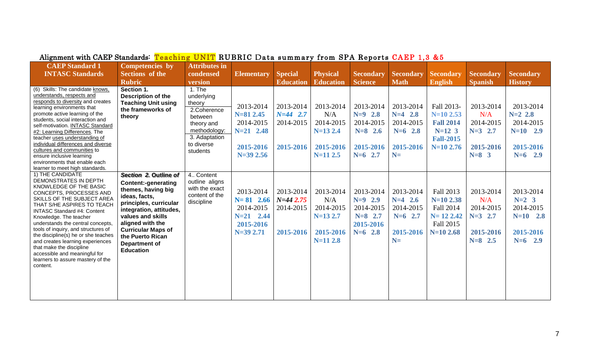| <b>CAEP Standard 1</b><br><b>INTASC Standards</b>                                                                                                                                                                                                                                                                                                                                                                                                                                               | <b>Competencies</b> by<br>Sections of the                                                                                                                                                                                                                                             | <b>Attributes in</b><br>condensed                                                                                                 | <b>Elementary</b>                                                                 | <b>Special</b>                                      | <b>Physical</b>                                                      | <b>Secondary</b>                                                           | <b>Secondary</b>                                                      | <b>Secondary</b>                                                                             | <b>Secondary</b>                                                     | <b>Secondary</b>                                                            |
|-------------------------------------------------------------------------------------------------------------------------------------------------------------------------------------------------------------------------------------------------------------------------------------------------------------------------------------------------------------------------------------------------------------------------------------------------------------------------------------------------|---------------------------------------------------------------------------------------------------------------------------------------------------------------------------------------------------------------------------------------------------------------------------------------|-----------------------------------------------------------------------------------------------------------------------------------|-----------------------------------------------------------------------------------|-----------------------------------------------------|----------------------------------------------------------------------|----------------------------------------------------------------------------|-----------------------------------------------------------------------|----------------------------------------------------------------------------------------------|----------------------------------------------------------------------|-----------------------------------------------------------------------------|
|                                                                                                                                                                                                                                                                                                                                                                                                                                                                                                 | <b>Rubric</b>                                                                                                                                                                                                                                                                         | version                                                                                                                           |                                                                                   | <b>Education</b>                                    | <b>Education</b>                                                     | <b>Science</b>                                                             | <b>Math</b>                                                           | <b>English</b>                                                                               | <b>Spanish</b>                                                       | <b>History</b>                                                              |
| (6) Skills: The candidate knows,<br>understands, respects and<br>responds to diversity and creates<br>learning environments that<br>promote active learning of the<br>students, social interaction and<br>self-motivation. INTASC Standard<br>#2: Learning Differences. The<br>teacher uses understanding of<br>individual differences and diverse<br>cultures and communities to<br>ensure inclusive learning<br>environments that enable each<br>learner to meet high standards.              | Section 1.<br><b>Description of the</b><br><b>Teaching Unit using</b><br>the frameworks of<br>theory                                                                                                                                                                                  | 1. The<br>underlying<br>theory<br>2.Coherence<br>between<br>theory and<br>methodology:<br>3. Adaptation<br>to diverse<br>students | 2013-2014<br>$N = 812.45$<br>2014-2015<br>$N=21$ 2.48<br>2015-2016<br>$N=39$ 2.56 | 2013-2014<br>$N=44$ 2.7<br>2014-2015<br>2015-2016   | 2013-2014<br>N/A<br>2014-2015<br>$N=132.4$<br>2015-2016<br>$N=112.5$ | 2013-2014<br>$N=9$ 2.8<br>2014-2015<br>$N=8$ 2.6<br>2015-2016<br>$N=6$ 2.7 | 2013-2014<br>$N=4$ 2.8<br>2014-2015<br>$N=6$ 2.8<br>2015-2016<br>$N=$ | Fall 2013-<br>$N=10$ 2.53<br><b>Fall 2014</b><br>$N=12$ 3<br><b>Fall-2015</b><br>$N=10$ 2.76 | 2013-2014<br>N/A<br>2014-2015<br>$N=3$ 2.7<br>2015-2016<br>$N=8$ 3   | 2013-2014<br>$N=2$ 2.8<br>2014-2015<br>$N=10$ 2.9<br>2015-2016<br>$N=6$ 2.9 |
| 1) THE CANDIDATE<br>DEMONSTRATES IN DEPTH<br>KNOWLEDGE OF THE BASIC<br>CONCEPTS, PROCESSES AND<br>SKILLS OF THE SUBJECT AREA<br>THAT S/HE ASPIRES TO TEACH<br><b>INTASC Standard #4: Content</b><br>Knowledge. The teacher<br>understands the central concepts,<br>tools of inquiry, and structures of<br>the discipline(s) he or she teaches<br>and creates learning experiences<br>that make the discipline<br>accessible and meaningful for<br>learners to assure mastery of the<br>content. | Section 2. Outline of<br><b>Content:-generating</b><br>themes, having big<br>ideas, facts,<br>principles, curricular<br>integration, attitudes,<br>values and skills<br>aligned with the<br><b>Curricular Maps of</b><br>the Puerto Rican<br><b>Department of</b><br><b>Education</b> | 4. Content<br>outline aligns<br>with the exact<br>content of the<br>discipline                                                    | 2013-2014<br>$N = 81$ 2.66<br>2014-2015<br>$N=21$ 2.44<br>2015-2016<br>$N=392.71$ | 2013-2014<br>$N = 442.75$<br>2014-2015<br>2015-2016 | 2013-2014<br>N/A<br>2014-2015<br>$N=132.7$<br>2015-2016<br>$N=112.8$ | 2013-2014<br>$N=9$ 2.9<br>2014-2015<br>$N=8$ 2.7<br>2015-2016<br>$N=6$ 2.8 | 2013-2014<br>$N=4$ 2.6<br>2014-2015<br>$N=6$ 2.7<br>2015-2016<br>$N=$ | Fall 2013<br>$N=10$ 2.38<br>Fall 2014<br>$N = 122.42$<br>Fall 2015<br>$N=10$ 2.68            | 2013-2014<br>N/A<br>2014-2015<br>$N=3$ 2.7<br>2015-2016<br>$N=8$ 2.5 | 2013-2014<br>$N=2$ 3<br>2014-2015<br>$N=10$ 2.8<br>2015-2016<br>$N=6$ 2.9   |

### Alignment with CAEP Standards: Teaching UNIT RUBRIC Data summary from SPA Reports CAEP 1,3 &5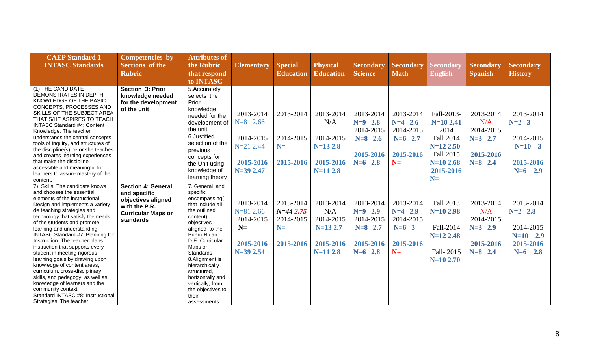| <b>CAEP Standard 1</b>                                                                                                                                                                                                                                                                                                                                                                                                                                                                                                                                                                                                                                                             | <b>Competencies</b> by                                                                                                     | <b>Attributes of</b>                                                                                                                                                                                                                                                                                                           |                                                                                   |                                                             |                                                                      |                                                                            |                                                                       |                                                                                                                |                                                                        |                                                                             |
|------------------------------------------------------------------------------------------------------------------------------------------------------------------------------------------------------------------------------------------------------------------------------------------------------------------------------------------------------------------------------------------------------------------------------------------------------------------------------------------------------------------------------------------------------------------------------------------------------------------------------------------------------------------------------------|----------------------------------------------------------------------------------------------------------------------------|--------------------------------------------------------------------------------------------------------------------------------------------------------------------------------------------------------------------------------------------------------------------------------------------------------------------------------|-----------------------------------------------------------------------------------|-------------------------------------------------------------|----------------------------------------------------------------------|----------------------------------------------------------------------------|-----------------------------------------------------------------------|----------------------------------------------------------------------------------------------------------------|------------------------------------------------------------------------|-----------------------------------------------------------------------------|
| <b>INTASC Standards</b>                                                                                                                                                                                                                                                                                                                                                                                                                                                                                                                                                                                                                                                            | <b>Sections of the</b>                                                                                                     | the Rubric                                                                                                                                                                                                                                                                                                                     | <b>Elementary</b>                                                                 | <b>Special</b>                                              | <b>Physical</b>                                                      | <b>Secondary</b>                                                           | <b>Secondary</b>                                                      | <b>Secondary</b>                                                                                               | <b>Secondary</b>                                                       | <b>Secondary</b>                                                            |
|                                                                                                                                                                                                                                                                                                                                                                                                                                                                                                                                                                                                                                                                                    | <b>Rubric</b>                                                                                                              | that respond                                                                                                                                                                                                                                                                                                                   |                                                                                   | <b>Education</b>                                            | <b>Education</b>                                                     | <b>Science</b>                                                             | <b>Math</b>                                                           | <b>English</b>                                                                                                 | <b>Spanish</b>                                                         | <b>History</b>                                                              |
|                                                                                                                                                                                                                                                                                                                                                                                                                                                                                                                                                                                                                                                                                    |                                                                                                                            | to <b>INTASC</b>                                                                                                                                                                                                                                                                                                               |                                                                                   |                                                             |                                                                      |                                                                            |                                                                       |                                                                                                                |                                                                        |                                                                             |
| (1) THE CANDIDATE<br>DEMONSTRATES IN DEPTH<br>KNOWLEDGE OF THE BASIC<br>CONCEPTS, PROCESSES AND<br>SKILLS OF THE SUBJECT AREA<br>THAT S/HE ASPIRES TO TEACH<br><b>INTASC Standard #4: Content</b><br>Knowledge. The teacher<br>understands the central concepts,<br>tools of inquiry, and structures of<br>the discipline(s) he or she teaches<br>and creates learning experiences<br>that make the discipline<br>accessible and meaningful for<br>learners to assure mastery of the                                                                                                                                                                                               | Section 3: Prior<br>knowledge needed<br>for the development<br>of the unit                                                 | 5.Accurately<br>selects the<br>Prior<br>knowledge<br>needed for the<br>development of<br>the unit<br>6.Justified<br>selection of the<br>previous<br>concepts for<br>the Unit using<br>knowledge of<br>learning theory                                                                                                          | 2013-2014<br>$N = 812.66$<br>2014-2015<br>$N = 212.44$<br>2015-2016<br>$N=392.47$ | 2013-2014<br>2014-2015<br>$N=$<br>2015-2016                 | 2013-2014<br>N/A<br>2014-2015<br>$N=132.8$<br>2015-2016<br>$N=112.8$ | 2013-2014<br>$N=9$ 2.8<br>2014-2015<br>$N=8$ 2.6<br>2015-2016<br>$N=6$ 2.8 | 2013-2014<br>$N=4$ 2.6<br>2014-2015<br>$N=6$ 2.7<br>2015-2016<br>$N=$ | Fall-2013-<br>$N=10$ 2.41<br>2014<br>Fall 2014<br>$N=12$ 2.50<br>Fall 2015<br>$N=10$ 2.68<br>2015-2016<br>$N=$ | 2013-2014<br>N/A<br>2014-2015<br>$N=3$ 2.7<br>2015-2016<br>$N=8$ 2.4   | 2013-2014<br>$N=2$ 3<br>2014-2015<br>$N=10$ 3<br>2015-2016<br>$N=6$ 2.9     |
| content.<br>7) Skills: The candidate knows<br>and chooses the essential<br>elements of the instructional<br>Design and implements a variety<br>de teaching strategies and<br>technology that satisfy the needs<br>of the students and promote<br>learning and understanding.<br>INTASC Standard #7: Planning for<br>Instruction. The teacher plans<br>instruction that supports every<br>student in meeting rigorous<br>learning goals by drawing upon<br>knowledge of content areas,<br>curriculum, cross-disciplinary<br>skills, and pedagogy, as well as<br>knowledge of learners and the<br>community context.<br>Standard INTASC #8: Instructional<br>Strategies. The teacher | <b>Section 4: General</b><br>and specific<br>objectives aligned<br>with the P.R.<br><b>Curricular Maps or</b><br>standards | 7. General and<br>specific<br>encompassing(<br>that include all<br>the outlined<br>content)<br>objectives<br>alligned to the<br>Puero Rican<br>D.E. Curricular<br>Maps or<br>Standards<br>8.Alignment is<br>hierarchically<br>structured,<br>horizontally and<br>vertically, from<br>the objectives to<br>their<br>assessments | 2013-2014<br>$N = 812.66$<br>2014-2015<br>$N=$<br>2015-2016<br>$N=39$ 2.54        | 2013-2014<br>$N = 442.75$<br>2014-2015<br>$N=$<br>2015-2016 | 2013-2014<br>N/A<br>2014-2015<br>$N=132.7$<br>2015-2016<br>$N=112.8$ | 2013-2014<br>$N=9$ 2.9<br>2014-2015<br>$N=8$ 2.7<br>2015-2016<br>$N=6$ 2.8 | 2013-2014<br>$N=4$ 2.9<br>2014-2015<br>$N=6$ 3<br>2015-2016<br>$N=$   | Fall 2013<br>$N=10$ 2.98<br>Fall-2014<br>$N=12$ 2.48<br>Fall-2015<br>$N=102.70$                                | 2013-2014<br>N/A<br>2014-2015<br>$N=3$ 2.9<br>2015-2016<br>$N = 8$ 2.4 | 2013-2014<br>$N=2$ 2.8<br>2014-2015<br>$N=10$ 2.9<br>2015-2016<br>$N=6$ 2.8 |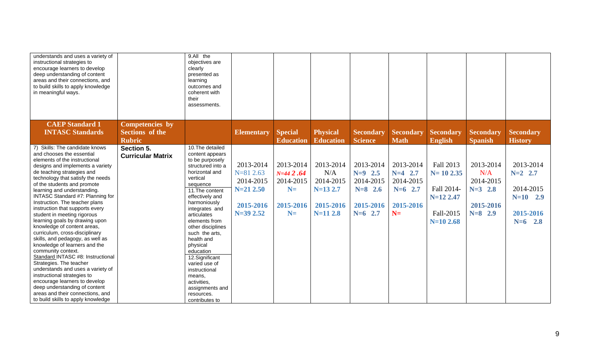| understands and uses a variety of<br>instructional strategies to<br>encourage learners to develop<br>deep understanding of content<br>areas and their connections, and<br>to build skills to apply knowledge<br>in meaningful ways.                                                                                                                                                                                                                                                                                                                                                                                                                                                                                                                                                                                                                                                     |                                        | 9.All the<br>objectives are<br>clearly<br>presented as<br>learning<br>outcomes and<br>coherent with<br>their<br>assessments.                                                                                                                                                                                                                                                                                                                |                                                                                   |                                                                   |                                                                      |                                                                            |                                                                       |                                                                                    |                                                                      |                                                                                |
|-----------------------------------------------------------------------------------------------------------------------------------------------------------------------------------------------------------------------------------------------------------------------------------------------------------------------------------------------------------------------------------------------------------------------------------------------------------------------------------------------------------------------------------------------------------------------------------------------------------------------------------------------------------------------------------------------------------------------------------------------------------------------------------------------------------------------------------------------------------------------------------------|----------------------------------------|---------------------------------------------------------------------------------------------------------------------------------------------------------------------------------------------------------------------------------------------------------------------------------------------------------------------------------------------------------------------------------------------------------------------------------------------|-----------------------------------------------------------------------------------|-------------------------------------------------------------------|----------------------------------------------------------------------|----------------------------------------------------------------------------|-----------------------------------------------------------------------|------------------------------------------------------------------------------------|----------------------------------------------------------------------|--------------------------------------------------------------------------------|
| <b>CAEP Standard 1</b>                                                                                                                                                                                                                                                                                                                                                                                                                                                                                                                                                                                                                                                                                                                                                                                                                                                                  | <b>Competencies</b> by                 |                                                                                                                                                                                                                                                                                                                                                                                                                                             |                                                                                   |                                                                   |                                                                      |                                                                            |                                                                       |                                                                                    |                                                                      |                                                                                |
| <b>INTASC Standards</b>                                                                                                                                                                                                                                                                                                                                                                                                                                                                                                                                                                                                                                                                                                                                                                                                                                                                 | Sections of the<br><b>Rubric</b>       |                                                                                                                                                                                                                                                                                                                                                                                                                                             | <b>Elementary</b>                                                                 | <b>Special</b><br><b>Education</b>                                | <b>Physical</b><br><b>Education</b>                                  | <b>Secondary</b><br><b>Science</b>                                         | <b>Secondary</b><br><b>Math</b>                                       | <b>Secondary</b><br><b>English</b>                                                 | <b>Secondary</b><br><b>Spanish</b>                                   | <b>Secondary</b><br><b>History</b>                                             |
| 7) Skills: The candidate knows<br>and chooses the essential<br>elements of the instructional<br>designs and implements a variety<br>de teaching strategies and<br>technology that satisfy the needs<br>of the students and promote<br>learning and understanding.<br>INTASC Standard #7: Planning for<br>Instruction. The teacher plans<br>instruction that supports every<br>student in meeting rigorous<br>learning goals by drawing upon<br>knowledge of content areas,<br>curriculum, cross-disciplinary<br>skills, and pedagogy, as well as<br>knowledge of learners and the<br>community context.<br>Standard INTASC #8: Instructional<br>Strategies. The teacher<br>understands and uses a variety of<br>instructional strategies to<br>encourage learners to develop<br>deep understanding of content<br>areas and their connections, and<br>to build skills to apply knowledge | Section 5.<br><b>Curricular Matrix</b> | 10. The detailed<br>content appears<br>to be purposely<br>structured into a<br>horizontal and<br>vertical<br>sequence<br>11. The content<br>effectively and<br>harmoniously<br>integrates and<br>articulates<br>elements from<br>other disciplines<br>such the arts,<br>health and<br>physical<br>education<br>12.Significant<br>varied use of<br>instructional<br>means,<br>activities,<br>assignments and<br>resources.<br>contributes to | 2013-2014<br>$N = 812.63$<br>2014-2015<br>$N=21$ 2.50<br>2015-2016<br>$N=39$ 2.52 | 2013-2014<br>$N=442.64$<br>2014-2015<br>$N=$<br>2015-2016<br>$N=$ | 2013-2014<br>N/A<br>2014-2015<br>$N=132.7$<br>2015-2016<br>$N=112.8$ | 2013-2014<br>$N=9$ 2.5<br>2014-2015<br>$N=8$ 2.6<br>2015-2016<br>$N=6$ 2.7 | 2013-2014<br>$N=4$ 2.7<br>2014-2015<br>$N=6$ 2.7<br>2015-2016<br>$N=$ | Fall 2013<br>$N = 102.35$<br>Fall 2014-<br>$N=12$ 2.47<br>Fall-2015<br>$N=10$ 2.68 | 2013-2014<br>N/A<br>2014-2015<br>$N=3$ 2.8<br>2015-2016<br>$N=8$ 2.9 | 2013-2014<br>$N=2$ 2.7<br>2014-2015<br>$N=10$ 2.9<br>2015-2016<br>$N=6$<br>2.8 |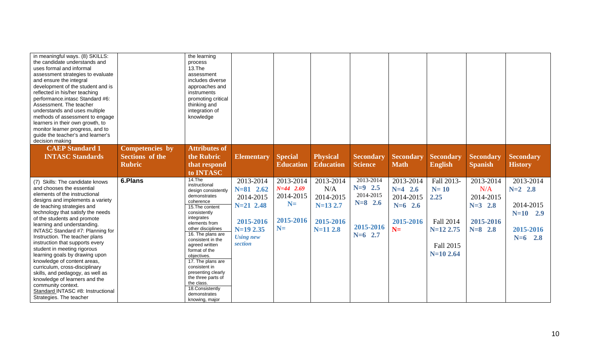| in meaningful ways. (8) SKILLS:<br>the candidate understands and<br>uses formal and informal<br>assessment strategies to evaluate<br>and ensure the integral<br>development of the student and is<br>reflected in his/her teaching<br>performance.intasc Standard #6:<br>Assessment. The teacher<br>understands and uses multiple<br>methods of assessment to engage<br>learners in their own growth, to<br>monitor learner progress, and to<br>guide the teacher's and learner's<br>decision making                                                                                                                                                                     |                                                                   | the learning<br>process<br>13.The<br>assessment<br>includes diverse<br>approaches and<br>instruments<br>promoting critical<br>thinking and<br>integration of<br>knowledge                                                                                                                                                                                                                                               |                                                                                                                  |                                                                    |                                                                      |                                                                            |                                                                       |                                                                                      |                                                                        |                                                                             |
|--------------------------------------------------------------------------------------------------------------------------------------------------------------------------------------------------------------------------------------------------------------------------------------------------------------------------------------------------------------------------------------------------------------------------------------------------------------------------------------------------------------------------------------------------------------------------------------------------------------------------------------------------------------------------|-------------------------------------------------------------------|-------------------------------------------------------------------------------------------------------------------------------------------------------------------------------------------------------------------------------------------------------------------------------------------------------------------------------------------------------------------------------------------------------------------------|------------------------------------------------------------------------------------------------------------------|--------------------------------------------------------------------|----------------------------------------------------------------------|----------------------------------------------------------------------------|-----------------------------------------------------------------------|--------------------------------------------------------------------------------------|------------------------------------------------------------------------|-----------------------------------------------------------------------------|
| <b>CAEP Standard 1</b><br><b>INTASC Standards</b>                                                                                                                                                                                                                                                                                                                                                                                                                                                                                                                                                                                                                        | <b>Competencies</b> by<br><b>Sections of the</b><br><b>Rubric</b> | <b>Attributes of</b><br>the Rubric<br>that respond<br>to <b>INTASC</b>                                                                                                                                                                                                                                                                                                                                                  | <b>Elementary</b>                                                                                                | <b>Special</b><br><b>Education</b>                                 | <b>Physical</b><br><b>Education</b>                                  | <b>Secondary</b><br><b>Science</b>                                         | <b>Secondary</b><br><b>Math</b>                                       | <b>Secondary</b><br><b>English</b>                                                   | <b>Secondary</b><br><b>Spanish</b>                                     | <b>Secondary</b><br><b>History</b>                                          |
| (7) Skills: The candidate knows<br>and chooses the essential<br>elements of the instructional<br>designs and implements a variety<br>de teaching strategies and<br>technology that satisfy the needs<br>of the students and promote<br>learning and understanding.<br>INTASC Standard #7: Planning for<br>Instruction. The teacher plans<br>instruction that supports every<br>student in meeting rigorous<br>learning goals by drawing upon<br>knowledge of content areas,<br>curriculum, cross-disciplinary<br>skills, and pedagogy, as well as<br>knowledge of learners and the<br>community context.<br>Standard INTASC #8: Instructional<br>Strategies. The teacher | 6.Plans                                                           | $14.$ The<br>instructional<br>design consistently<br>demonstrates<br>coherence<br>15. The content<br>consistently<br>integrates<br>elements from<br>other disciplines<br>16. The plans are<br>consistent in the<br>agreed written<br>format of the<br>objectives.<br>17. The plans are<br>consistent in<br>presenting clearly<br>the three parts of<br>the class.<br>18. Consistently<br>demonstrates<br>knowing, major | 2013-2014<br>$N = 81$ 2.62<br>2014-2015<br>$N=21$ 2.48<br>2015-2016<br>$N=192.35$<br><b>Using new</b><br>section | 2013-2014<br>$N=44$ 2.69<br>2014-2015<br>$N=$<br>2015-2016<br>$N=$ | 2013-2014<br>N/A<br>2014-2015<br>$N=132.7$<br>2015-2016<br>$N=112.8$ | 2013-2014<br>$N=9$ 2.5<br>2014-2015<br>$N=8$ 2.6<br>2015-2016<br>$N=6$ 2.7 | 2013-2014<br>$N=4$ 2.6<br>2014-2015<br>$N=6$ 2.6<br>2015-2016<br>$N=$ | Fall 2013-<br>$N=10$<br>2.25<br>Fall 2014<br>$N=12$ 2.75<br>Fall 2015<br>$N=10$ 2.64 | 2013-2014<br>N/A<br>2014-2015<br>$N=3$ 2.8<br>2015-2016<br>$N = 8$ 2.8 | 2013-2014<br>$N=2$ 2.8<br>2014-2015<br>$N=10$ 2.9<br>2015-2016<br>$N=6$ 2.8 |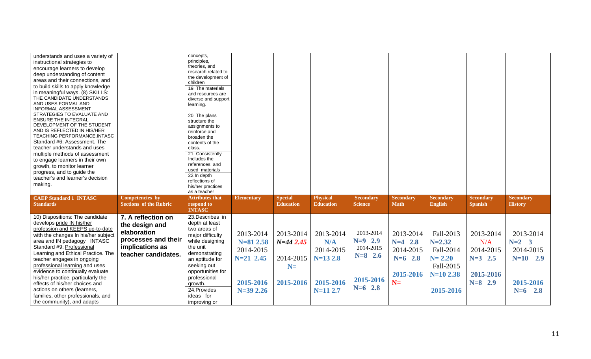| understands and uses a variety of<br>instructional strategies to<br>encourage learners to develop<br>deep understanding of content<br>areas and their connections, and<br>to build skills to apply knowledge<br>in meaningful ways. (8) SKILLS:<br>THE CANDIDATE UNDERSTANDS<br>AND USES FORMAL AND<br><b>INFORMAL ASSESSMENT</b><br>STRATEGIES TO EVALUATE AND<br><b>ENSURE THE INTEGRAL</b><br>DEVELOPMENT OF THE STUDENT<br>AND IS REFLECTED IN HIS/HER<br>TEACHING PERFORMANCE.INTASC<br>Standard #6: Assessment. The<br>teacher understands and uses<br>multiple methods of assessment<br>to engage learners in their own<br>growth, to monitor learner<br>progress, and to guide the<br>teacher's and learner's decision<br>making. |                                                                                                                      | concepts,<br>principles,<br>theories, and<br>research related to<br>the development of<br>children<br>19. The materials<br>and resources are<br>diverse and support<br>learning.<br>20. The plans<br>structure the<br>assignments to<br>reinforce and<br>broaden the<br>contents of the<br>class.<br>21. Consistently<br>Includes the<br>references and<br>used materials<br>22.In depth<br>reflections of<br>his/her practices<br>as a teacher |                                                                                  |                                                              |                                                                      |                                                                            |                                                                       |                                                                                             |                                                                      |                                                                              |
|-------------------------------------------------------------------------------------------------------------------------------------------------------------------------------------------------------------------------------------------------------------------------------------------------------------------------------------------------------------------------------------------------------------------------------------------------------------------------------------------------------------------------------------------------------------------------------------------------------------------------------------------------------------------------------------------------------------------------------------------|----------------------------------------------------------------------------------------------------------------------|-------------------------------------------------------------------------------------------------------------------------------------------------------------------------------------------------------------------------------------------------------------------------------------------------------------------------------------------------------------------------------------------------------------------------------------------------|----------------------------------------------------------------------------------|--------------------------------------------------------------|----------------------------------------------------------------------|----------------------------------------------------------------------------|-----------------------------------------------------------------------|---------------------------------------------------------------------------------------------|----------------------------------------------------------------------|------------------------------------------------------------------------------|
| <b>CAEP Standard 1 INTASC</b><br><b>Standards</b>                                                                                                                                                                                                                                                                                                                                                                                                                                                                                                                                                                                                                                                                                         | <b>Competencies</b> by<br><b>Sections of the Rubric</b>                                                              | <b>Attributes that</b><br>respond to<br><b>INTASC</b>                                                                                                                                                                                                                                                                                                                                                                                           | <b>Elementary</b>                                                                | <b>Special</b><br><b>Education</b>                           | <b>Physical</b><br><b>Education</b>                                  | <b>Secondary</b><br><b>Science</b>                                         | <b>Secondary</b><br><b>Math</b>                                       | <b>Secondary</b><br><b>English</b>                                                          | <b>Secondary</b><br><b>Spanish</b>                                   | <b>Secondary</b><br><b>History</b>                                           |
| 10) Dispositions: The candidate<br>develops pride IN his/her<br>profession and KEEPS up-to-date<br>with the changes In his/her subject<br>area and IN pedagogy INTASC<br>Standard #9: Professional<br>Learning and Ethical Practice. The<br>teacher engages in ongoing<br>professional learning and uses<br>evidence to continually evaluate<br>his/her practice, particularly the<br>effects of his/her choices and<br>actions on others (learners,<br>families, other professionals, and<br>the community), and adapts                                                                                                                                                                                                                  | 7. A reflection on<br>the design and<br>elaboration<br>processes and their<br>implications as<br>teacher candidates. | 23.Describes in<br>depth at least<br>two areas of<br>major difficulty<br>while designing<br>the unit<br>demonstrating<br>an aptitude for<br>seeking out<br>opportunities for<br>professional<br>growth.<br>24. Provides<br>ideas for<br>improving or                                                                                                                                                                                            | 2013-2014<br>$N = 812.58$<br>2014-2015<br>$N=21$ 2.45<br>2015-2016<br>$N=392.26$ | 2013-2014<br>$N = 442.45$<br>2014-2015<br>$N =$<br>2015-2016 | 2013-2014<br>N/A<br>2014-2015<br>$N=132.8$<br>2015-2016<br>$N=112.7$ | 2013-2014<br>$N=9$ 2.9<br>2014-2015<br>$N=8$ 2.6<br>2015-2016<br>$N=6$ 2.8 | 2013-2014<br>$N=4$ 2.8<br>2014-2015<br>$N=6$ 2.8<br>2015-2016<br>$N=$ | Fall-2013<br>$N = 2.32$<br>Fall-2014<br>$N = 2.20$<br>Fall-2015<br>$N=10$ 2.38<br>2015-2016 | 2013-2014<br>N/A<br>2014-2015<br>$N=3$ 2.5<br>2015-2016<br>$N=8$ 2.9 | 2013-2014<br>$N=2$ 3<br>2014-2015<br>$N=10$<br>2.9<br>2015-2016<br>$N=6$ 2.8 |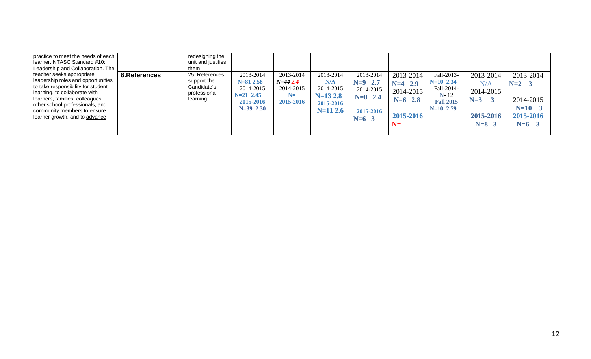| practice to meet the needs of each<br>learner.INTASC Standard #10:<br>Leadership and Collaboration. The                                                                                                                                                                       |               | redesigning the<br>unit and justifies<br>them                             |                                                                                   |                                                            |                                                                      |                                                                          |                                                                       |                                                                                      |                                                                |                                                                       |
|-------------------------------------------------------------------------------------------------------------------------------------------------------------------------------------------------------------------------------------------------------------------------------|---------------|---------------------------------------------------------------------------|-----------------------------------------------------------------------------------|------------------------------------------------------------|----------------------------------------------------------------------|--------------------------------------------------------------------------|-----------------------------------------------------------------------|--------------------------------------------------------------------------------------|----------------------------------------------------------------|-----------------------------------------------------------------------|
| teacher seeks appropriate<br>leadership roles and opportunities<br>to take responsibility for student<br>learning, to collaborate with<br>learners, families, colleagues,<br>other school professionals, and<br>community members to ensure<br>learner growth, and to advance | 8. References | 25. References<br>support the<br>Candidate's<br>professional<br>learning. | 2013-2014<br>$N = 812.58$<br>2014-2015<br>$N=21$ 2.45<br>2015-2016<br>$N=39$ 2.30 | 2013-2014<br>$N = 442.4$<br>2014-2015<br>$N=$<br>2015-2016 | 2013-2014<br>N/A<br>2014-2015<br>$N=132.8$<br>2015-2016<br>$N=112.6$ | 2013-2014<br>$N=9$ 2.7<br>2014-2015<br>$N=8$ 2.4<br>2015-2016<br>$N=6$ 3 | 2013-2014<br>$N=4$ 2.9<br>2014-2015<br>$N=6$ 2.8<br>2015-2016<br>$N=$ | Fall-2013-<br>$N=10$ 2.34<br>Fall-2014-<br>$N-12$<br><b>Fall 2015</b><br>$N=10$ 2.79 | 2013-2014<br>N/A<br>2014-2015<br>$N=3$<br>2015-2016<br>$N=8$ 3 | 2013-2014<br>$N=2$ 3<br>2014-2015<br>$N=10$ 3<br>2015-2016<br>$N=6$ 3 |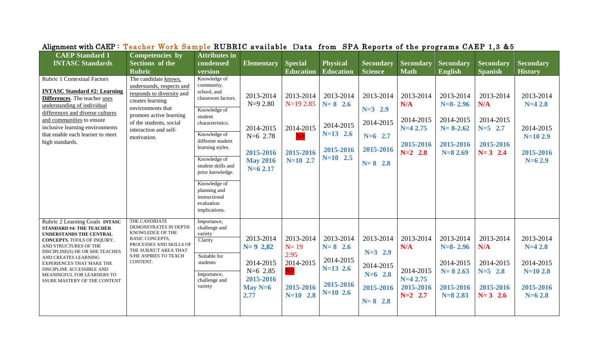| <b>CAEP Standard 1</b>                                                                                                                                                                                                                                                                                                                  | <b>Competencies</b> by                                                                                                                                                                                                | Attributes in                                                                                                                                                                                                                                                                                                     |                                                                                                 |                                                                             |                                                                                |                                                                              |                                                                      |                                                                                  |                                                                        |                                                                          |
|-----------------------------------------------------------------------------------------------------------------------------------------------------------------------------------------------------------------------------------------------------------------------------------------------------------------------------------------|-----------------------------------------------------------------------------------------------------------------------------------------------------------------------------------------------------------------------|-------------------------------------------------------------------------------------------------------------------------------------------------------------------------------------------------------------------------------------------------------------------------------------------------------------------|-------------------------------------------------------------------------------------------------|-----------------------------------------------------------------------------|--------------------------------------------------------------------------------|------------------------------------------------------------------------------|----------------------------------------------------------------------|----------------------------------------------------------------------------------|------------------------------------------------------------------------|--------------------------------------------------------------------------|
| <b>INTASC Standards</b>                                                                                                                                                                                                                                                                                                                 | Sections of the                                                                                                                                                                                                       | condensed                                                                                                                                                                                                                                                                                                         | <b>Elementary</b>                                                                               | <b>Special</b>                                                              | <b>Physical</b>                                                                | <b>Secondary</b>                                                             | <b>Secondary</b>                                                     | <b>Secondary</b>                                                                 | <b>Secondary</b>                                                       | <b>Secondary</b>                                                         |
|                                                                                                                                                                                                                                                                                                                                         | <b>Rubric</b>                                                                                                                                                                                                         | version                                                                                                                                                                                                                                                                                                           |                                                                                                 | <b>Education</b>                                                            | <b>Education</b>                                                               | <b>Science</b>                                                               | <b>Math</b>                                                          | <b>English</b>                                                                   | <b>Spanish</b>                                                         | <b>History</b>                                                           |
| Rubric 1 Contextual Factors<br><b>INTASC Standard #2: Learning</b><br>Differences. The teacher uses<br>understanding of individual<br>differences and diverse cultures<br>and communities to ensure<br>inclusive learning environments<br>that enable each learner to meet<br>high standards.                                           | The candidate knows,<br>understands, respects and<br>responds to diversity and<br>creates learning<br>environments that<br>promote active learning<br>of the students, social<br>interaction and self-<br>motivation. | Knowledge of<br>community,<br>school, and<br>classroom factors.<br>Knowledge of<br>student<br>characteristics.<br>Knowledge of<br>different student<br>learning styles.<br>Knowledge of<br>student skills and<br>prior knowledge.<br>Knowledge of<br>planning and<br>instructional<br>evaluation<br>implications. | 2013-2014<br>$N=92.80$<br>2014-2015<br>$N=6$ 2.78<br>2015-2016<br><b>May 2016</b><br>$N=6$ 2.17 | 2013-2014<br>$N=192.85$<br>2014-2015<br>$N =$<br>2015-2016<br>$N=10$ 2.7    | 2013-2014<br>$N = 8$ 2.6<br>2014-2015<br>$N=13$ 2.6<br>2015-2016<br>$N=10$ 2.5 | 2013-2014<br>$N=3$ 2.9<br>2014-2015<br>$N=6$ 2.7<br>2015-2016<br>$N = 8$ 2.8 | 2013-2014<br>N/A<br>2014-2015<br>$N=42.75$<br>2015-2016<br>$N=2$ 2.8 | 2013-2014<br>$N=8-2.96$<br>2014-2015<br>$N = 8 - 2.62$<br>2015-2016<br>$N=82.69$ | 2013-2014<br>N/A<br>2014-2015<br>$N=5$ 2.7<br>2015-2016<br>$N = 3$ 2.4 | 2013-2014<br>$N=42.8$<br>2014-2015<br>$N=102.9$<br>2015-2016<br>$N=62.9$ |
| Rubric 2 Learning Goals INTASC<br><b>STANDARD #4: THE TEACHER</b><br>UNDERSTANDS THE CENTRAL<br>CONCEPTS, TOOLS OF INQUIRY,<br>AND STRUCTURES OF THE<br>DISCIPLINE(S) HE OR SHE TEACHES<br>AND CREATES LEARNING<br>EXPERIENCES THAT MAKE THE<br>DISCIPLINE ACCESSIBLE AND<br>MEANINGFUL FOR LEARNERS TO<br>SSURE MASTERY OF THE CONTENT | THE CANDIDATE<br>DEMONSTRATES IN DEPTH<br>KNOWLEDGE OF THE<br><b>BASIC CONCEPTS,</b><br>PROCESSES AND SKILLS OF<br>THE SUBJECT AREA THAT<br>S/HE ASPIRES TO TEACH<br>CONTENT.                                         | Importance,<br>challenge and<br>variety<br>Clarity<br>Suitable for<br>students<br>Importance,<br>challenge and<br>variety                                                                                                                                                                                         | 2013-2014<br>$N = 9$ 2,82<br>2014-2015<br>$N=6$ 2.85<br>2015-2016<br>May $N=6$<br>2.77          | 2013-2014<br>$N=19$<br>2.95<br>2014-2015<br>$N=$<br>2015-2016<br>$N=10$ 2.8 | 2013-2014<br>$N = 8$ 2.6<br>2014-2015<br>$N=13$ 2.6<br>2015-2016<br>$N=10$ 2.6 | 2013-2014<br>$N=3$ 2.9<br>2014-2015<br>$N=6$ 2.8<br>2015-2016<br>$N = 8$ 2.8 | 2013-2014<br>N/A<br>2014-2015<br>$N=42.75$<br>2015-2016<br>$N=2$ 2.7 | 2013-2014<br>$N=8-2.96$<br>2014-2015<br>$N = 82.63$<br>2015-2016<br>$N = 82.83$  | 2013-2014<br>N/A<br>2014-2015<br>$N=5$ 2.8<br>2015-2016<br>$N = 3$ 2.6 | 2013-2014<br>$N=42.8$<br>2014-2015<br>$N=102.8$<br>2015-2016<br>$N=62.8$ |

## Alignment with CAEP : Teacher Work Sample RUBRIC available Data from SPA Reports of the programs CAEP 1,3 &5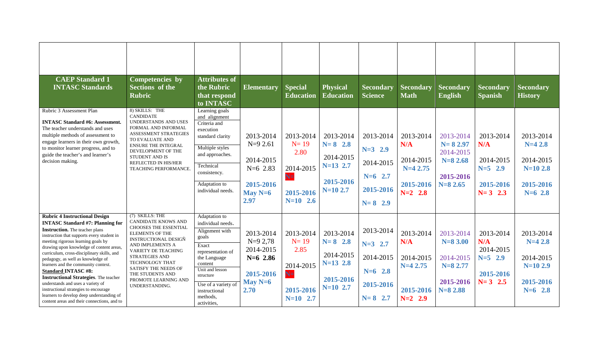| <b>CAEP</b> Standard 1<br><b>INTASC Standards</b>                                                                                                                                                                                                                                                                                                                                                                                                                                                                                                                                                                                          | <b>Competencies</b> by<br><b>Sections of the</b><br><b>Rubric</b>                                                                                                                                                                                                                                                          | <b>Attributes of</b><br>the Rubric<br>that respond<br>to <b>INTASC</b>                                                                                                                                                    | <b>Elementary</b>                                                                   | <b>Special</b><br><b>Education</b>                                                      | <b>Physical</b><br><b>Education</b>                                            | <b>Secondary</b><br><b>Science</b>                                           | <b>Secondary</b><br><b>Math</b>                                      | <b>Secondary</b><br><b>English</b>                                               | <b>Secondary</b><br><b>Spanish</b>                                     | <b>Secondary</b><br><b>History</b>                                        |
|--------------------------------------------------------------------------------------------------------------------------------------------------------------------------------------------------------------------------------------------------------------------------------------------------------------------------------------------------------------------------------------------------------------------------------------------------------------------------------------------------------------------------------------------------------------------------------------------------------------------------------------------|----------------------------------------------------------------------------------------------------------------------------------------------------------------------------------------------------------------------------------------------------------------------------------------------------------------------------|---------------------------------------------------------------------------------------------------------------------------------------------------------------------------------------------------------------------------|-------------------------------------------------------------------------------------|-----------------------------------------------------------------------------------------|--------------------------------------------------------------------------------|------------------------------------------------------------------------------|----------------------------------------------------------------------|----------------------------------------------------------------------------------|------------------------------------------------------------------------|---------------------------------------------------------------------------|
| Rubric 3 Assessment Plan<br><b>INTASC Standard #6: Assessment.</b><br>The teacher understands and uses<br>multiple methods of assessment to<br>engage learners in their own growth,<br>to monitor learner progress, and to<br>guide the teacher's and learner's<br>decision making.                                                                                                                                                                                                                                                                                                                                                        | 8) SKILLS: THE<br><b>CANDIDATE</b><br><b>UNDERSTANDS AND USES</b><br>FORMAL AND INFORMAL<br><b>ASSESSMENT STRATEGIES</b><br>TO EVALUATE AND<br><b>ENSURE THE INTEGRAL</b><br>DEVELOPMENT OF THE<br>STUDENT AND IS<br>REFLECTED IN HIS/HER<br>TEACHING PERFORMANCE.                                                         | Learning goals<br>and alignment<br>Criteria and<br>execution<br>standard clarity<br>Multiple styles<br>and approaches.<br>Technical<br>consistency.<br>Adaptation to<br>individual needs.                                 | 2013-2014<br>$N=92.61$<br>2014-2015<br>$N=6$ 2.83<br>2015-2016<br>May $N=6$<br>2.97 | 2013-2014<br>$N=19$<br>2.80<br>2014-2015<br>$\mathbf{N}$ $=$<br>2015-2016<br>$N=10$ 2.6 | 2013-2014<br>$N = 8$ 2.8<br>2014-2015<br>$N=13$ 2.7<br>2015-2016<br>$N=102.7$  | 2013-2014<br>$N=3$ 2.9<br>2014-2015<br>$N=6$ 2.7<br>2015-2016<br>$N = 8$ 2.9 | 2013-2014<br>N/A<br>2014-2015<br>$N=42.75$<br>2015-2016<br>$N=2$ 2.8 | 2013-2014<br>$N = 82.97$<br>2014-2015<br>$N = 82.68$<br>2015-2016<br>$N = 82.65$ | 2013-2014<br>N/A<br>2014-2015<br>$N=5$ 2.9<br>2015-2016<br>$N = 3$ 2.3 | 2013-2014<br>$N=42.8$<br>2014-2015<br>$N=102.8$<br>2015-2016<br>$N=6$ 2.8 |
| <b>Rubric 4 Instructional Design</b><br><b>INTASC Standard #7: Planning for</b><br><b>Instruction.</b> The teacher plans<br>instruction that supports every student in<br>meeting rigorous learning goals by<br>drawing upon knowledge of content areas,<br>curriculum, cross-disciplinary skills, and<br>pedagogy, as well as knowledge of<br>learners and the community context.<br><b>Standard INTASC#8:</b><br><b>Instructional Strategies</b> . The teacher<br>understands and uses a variety of<br>instructional strategies to encourage<br>learners to develop deep understanding of<br>content areas and their connections, and to | (7) SKILLS: THE<br><b>CANDIDATE KNOWS AND</b><br><b>CHOOSES THE ESSENTIAL</b><br><b>ELEMENTS OF THE</b><br><b>INSTRUCTIONAL DESIGÑ</b><br>AND IMPLEMENTS A<br><b>VARIETY DE TEACHING</b><br><b>STRATEGIES AND</b><br>TECHNOLOGY THAT<br>SATISFY THE NEEDS OF<br>THE STUDENTS AND<br>PROMOTE LEARNING AND<br>UNDERSTANDING. | Adaptation to<br>individual needs.<br>Alignment with<br>goals<br>Exact<br>representation of<br>the Language<br>content<br>Unit and lesson<br>structure<br>Use of a variety of<br>instructional<br>methods,<br>activities. | 2013-2014<br>$N=92,78$<br>2014-2015<br>$N=6$ 2.86<br>2015-2016<br>May $N=6$<br>2.70 | 2013-2014<br>$N=19$<br>2.85<br>2014-2015<br>$N =$<br>2015-2016<br>$N=10$ 2.7            | 2013-2014<br>$N = 8$ 2.8<br>2014-2015<br>$N=13$ 2.8<br>2015-2016<br>$N=10$ 2.7 | 2013-2014<br>$N=3$ 2.7<br>2014-2015<br>$N=6$ 2.8<br>2015-2016<br>$N = 8$ 2.7 | 2013-2014<br>N/A<br>2014-2015<br>$N=42.75$<br>2015-2016<br>$N=2$ 2.9 | 2013-2014<br>$N = 83.00$<br>2014-2015<br>$N = 82.77$<br>2015-2016<br>$N = 82.88$ | 2013-2014<br>N/A<br>2014-2015<br>$N=5$ 2.9<br>2015-2016<br>$N = 3$ 2.5 | 2013-2014<br>$N=42.8$<br>2014-2015<br>$N=102.9$<br>2015-2016<br>$N=6$ 2.8 |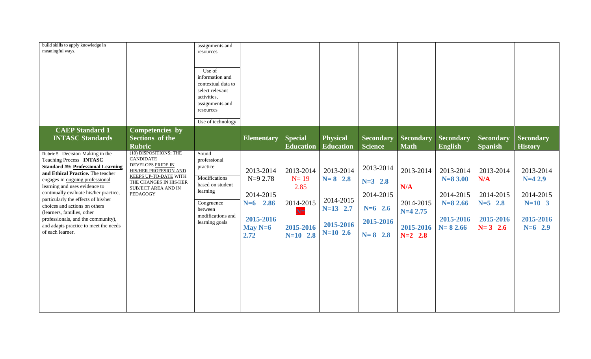| build skills to apply knowledge in<br>meaningful ways.                                                                                                                                                                                                                                                                                                                                                                                                                     |                                                                                                                                                                                | assignments and<br>resources<br>Use of<br>information and<br>contextual data to<br>select relevant<br>activities,<br>assignments and<br>resources<br>Use of technology |                                                                                      |                                                                              |                                                                                |                                                                              |                                                                      |                                                                                |                                                                        |                                                                          |
|----------------------------------------------------------------------------------------------------------------------------------------------------------------------------------------------------------------------------------------------------------------------------------------------------------------------------------------------------------------------------------------------------------------------------------------------------------------------------|--------------------------------------------------------------------------------------------------------------------------------------------------------------------------------|------------------------------------------------------------------------------------------------------------------------------------------------------------------------|--------------------------------------------------------------------------------------|------------------------------------------------------------------------------|--------------------------------------------------------------------------------|------------------------------------------------------------------------------|----------------------------------------------------------------------|--------------------------------------------------------------------------------|------------------------------------------------------------------------|--------------------------------------------------------------------------|
| <b>CAEP</b> Standard 1<br><b>INTASC Standards</b>                                                                                                                                                                                                                                                                                                                                                                                                                          | <b>Competencies</b> by<br>Sections of the<br><b>Rubric</b>                                                                                                                     |                                                                                                                                                                        | <b>Elementary</b>                                                                    | <b>Special</b><br><b>Education</b>                                           | <b>Physical</b><br><b>Education</b>                                            | <b>Secondary</b><br><b>Science</b>                                           | <b>Secondary</b><br><b>Math</b>                                      | <b>Secondary</b><br><b>English</b>                                             | <b>Secondary</b><br><b>Spanish</b>                                     | <b>Secondary</b><br><b>History</b>                                       |
| Rubric 5 Decision Making in the<br><b>Teaching Process INTASC</b><br><b>Standard #9: Professional Learning</b><br>and Ethical Practice. The teacher<br>engages in ongoing professional<br>learning and uses evidence to<br>continually evaluate his/her practice,<br>particularly the effects of his/her<br>choices and actions on others<br>(learners, families, other<br>professionals, and the community),<br>and adapts practice to meet the needs<br>of each learner. | (10) DISPOSITIONS: THE<br><b>CANDIDATE</b><br>DEVELOPS PRIDE IN<br>HIS/HER PROFESION AND<br>KEEPS UP-TO-DATE WITH<br>THE CHANGES IN HIS/HER<br>SUBJECT AREA AND IN<br>PEDAGOGY | Sound<br>professional<br>practice<br>Modifications<br>based on student<br>learning<br>Congruence<br>between<br>modifications and<br>learning goals                     | 2013-2014<br>$N=9$ 2.78<br>2014-2015<br>$N=6$ 2.86<br>2015-2016<br>May $N=6$<br>2.72 | 2013-2014<br>$N=19$<br>2.85<br>2014-2015<br>$N =$<br>2015-2016<br>$N=10$ 2.8 | 2013-2014<br>$N = 8$ 2.8<br>2014-2015<br>$N=13$ 2.7<br>2015-2016<br>$N=10$ 2.6 | 2013-2014<br>$N=3$ 2.8<br>2014-2015<br>$N=6$ 2.6<br>2015-2016<br>$N = 8$ 2.8 | 2013-2014<br>N/A<br>2014-2015<br>$N=42.75$<br>2015-2016<br>$N=2$ 2.8 | 2013-2014<br>$N = 83.00$<br>2014-2015<br>$N=82.66$<br>2015-2016<br>$N = 82.66$ | 2013-2014<br>N/A<br>2014-2015<br>$N=5$ 2.8<br>2015-2016<br>$N = 3$ 2.6 | 2013-2014<br>$N=42.9$<br>2014-2015<br>$N=10$ 3<br>2015-2016<br>$N=6$ 2.9 |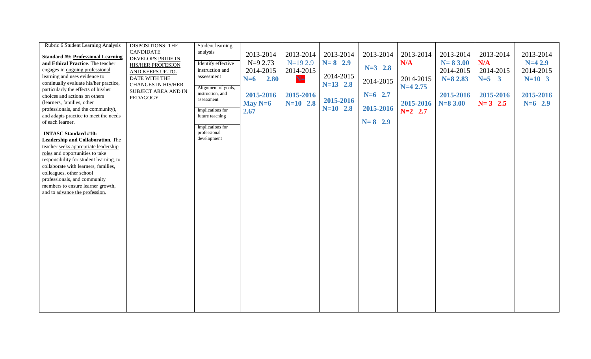| Rubric 6 Student Learning Analysis<br><b>Standard #9: Professional Learning</b><br>and Ethical Practice. The teacher<br>engages in ongoing professional<br>learning and uses evidence to<br>continually evaluate his/her practice,<br>particularly the effects of his/her<br>choices and actions on others<br>(learners, families, other<br>professionals, and the community),<br>and adapts practice to meet the needs<br>of each learner.<br><b>INTASC Standard #10:</b><br>Leadership and Collaboration. The<br>teacher seeks appropriate leadership<br>roles and opportunities to take<br>responsibility for student learning, to<br>collaborate with learners, families,<br>colleagues, other school<br>professionals, and community<br>members to ensure learner growth,<br>and to advance the profession. | <b>DISPOSITIONS: THE</b><br><b>CANDIDATE</b><br>DEVELOPS PRIDE IN<br><b>HIS/HER PROFESION</b><br>AND KEEPS UP-TO-<br><b>DATE WITH THE</b><br><b>CHANGES IN HIS/HER</b><br>SUBJECT AREA AND IN<br>PEDAGOGY | Student learning<br>analysis<br>Identify effective<br>instruction and<br>assessment<br>Alignment of goals,<br>instruction, and<br>assessment<br>Implications for<br>future teaching<br>Implications for<br>professional<br>development | 2013-2014<br>$N=9$ 2.73<br>2014-2015<br>$N=6$<br>2.80<br>2015-2016<br>May $N=6$<br>2.67 | 2013-2014<br>$N=192.9$<br>2014-2015<br>$N =$<br>2015-2016<br>$N=10$ 2.8 | 2013-2014<br>$N = 8$ 2.9<br>2014-2015<br>$N=13$ 2.8<br>2015-2016<br>$N=10$ 2.8 | 2013-2014<br>$N=3$ 2.8<br>2014-2015<br>$N=6$ 2.7<br>2015-2016<br>$N = 8$ 2.9 | 2013-2014<br>N/A<br>2014-2015<br>$N=42.75$<br>2015-2016<br>$N=2$ 2.7 | 2013-2014<br>$N = 83.00$<br>2014-2015<br>$N=82.83$<br>2015-2016<br>$N = 83.00$ | 2013-2014<br>N/A<br>2014-2015<br>$N=5$ 3<br>2015-2016<br>$N = 3$ 2.5 | 2013-2014<br>$N=42.9$<br>2014-2015<br>$N=10$ 3<br>2015-2016<br>$N=6$ 2.9 |
|------------------------------------------------------------------------------------------------------------------------------------------------------------------------------------------------------------------------------------------------------------------------------------------------------------------------------------------------------------------------------------------------------------------------------------------------------------------------------------------------------------------------------------------------------------------------------------------------------------------------------------------------------------------------------------------------------------------------------------------------------------------------------------------------------------------|-----------------------------------------------------------------------------------------------------------------------------------------------------------------------------------------------------------|----------------------------------------------------------------------------------------------------------------------------------------------------------------------------------------------------------------------------------------|-----------------------------------------------------------------------------------------|-------------------------------------------------------------------------|--------------------------------------------------------------------------------|------------------------------------------------------------------------------|----------------------------------------------------------------------|--------------------------------------------------------------------------------|----------------------------------------------------------------------|--------------------------------------------------------------------------|
|                                                                                                                                                                                                                                                                                                                                                                                                                                                                                                                                                                                                                                                                                                                                                                                                                  |                                                                                                                                                                                                           |                                                                                                                                                                                                                                        |                                                                                         |                                                                         |                                                                                |                                                                              |                                                                      |                                                                                |                                                                      |                                                                          |